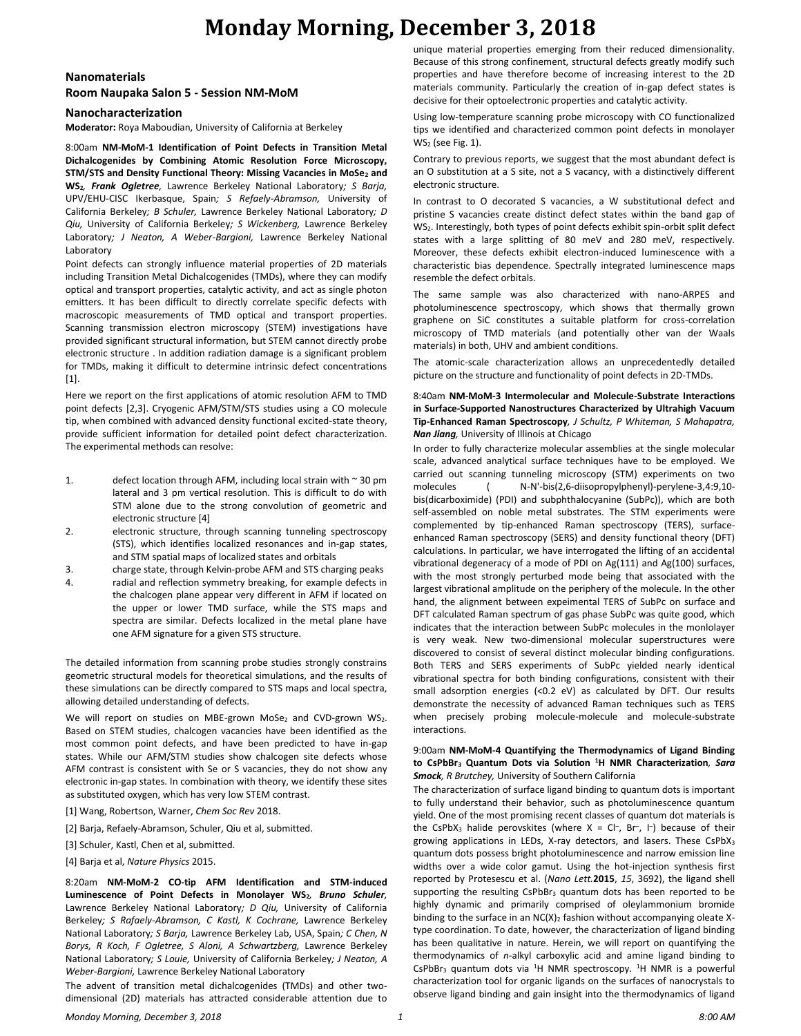## **Monday Morning, December 3, 2018**

### **Nanomaterials**

#### **Room Naupaka Salon 5 - Session NM-MoM**

#### **Nanocharacterization**

**Moderator:** Roya Maboudian, University of California at Berkeley

8:00am **NM-MoM-1 Identification of Point Defects in Transition Metal Dichalcogenides by Combining Atomic Resolution Force Microscopy, STM/STS and Density Functional Theory: Missing Vacancies in MoSe<sup>2</sup> and WS2***, Frank Ogletree,* Lawrence Berkeley National Laboratory*; S Barja,*  UPV/EHU-CISC Ikerbasque, Spain*; S Refaely-Abramson,* University of California Berkeley*; B Schuler,* Lawrence Berkeley National Laboratory*; D Qiu,* University of California Berkeley*; S Wickenberg,* Lawrence Berkeley Laboratory*; J Neaton, A Weber-Bargioni,* Lawrence Berkeley National Laboratory

Point defects can strongly influence material properties of 2D materials including Transition Metal Dichalcogenides (TMDs), where they can modify optical and transport properties, catalytic activity, and act as single photon emitters. It has been difficult to directly correlate specific defects with macroscopic measurements of TMD optical and transport properties. Scanning transmission electron microscopy (STEM) investigations have provided significant structural information, but STEM cannot directly probe electronic structure . In addition radiation damage is a significant problem for TMDs, making it difficult to determine intrinsic defect concentrations [1].

Here we report on the first applications of atomic resolution AFM to TMD point defects [2,3]. Cryogenic AFM/STM/STS studies using a CO molecule tip, when combined with advanced density functional excited-state theory, provide sufficient information for detailed point defect characterization. The experimental methods can resolve:

- 1. defect location through AFM, including local strain with  $\sim$  30 pm lateral and 3 pm vertical resolution. This is difficult to do with STM alone due to the strong convolution of geometric and electronic structure [4]
- 2. electronic structure, through scanning tunneling spectroscopy (STS), which identifies localized resonances and in-gap states, and STM spatial maps of localized states and orbitals
- 3. charge state, through Kelvin-probe AFM and STS charging peaks
- 4. radial and reflection symmetry breaking, for example defects in the chalcogen plane appear very different in AFM if located on the upper or lower TMD surface, while the STS maps and spectra are similar. Defects localized in the metal plane have one AFM signature for a given STS structure.

The detailed information from scanning probe studies strongly constrains geometric structural models for theoretical simulations, and the results of these simulations can be directly compared to STS maps and local spectra, allowing detailed understanding of defects.

We will report on studies on MBE-grown MoSe<sub>2</sub> and CVD-grown WS<sub>2</sub>. Based on STEM studies, chalcogen vacancies have been identified as the most common point defects, and have been predicted to have in-gap states. While our AFM/STM studies show chalcogen site defects whose AFM contrast is consistent with Se or S vacancies, they do not show any electronic in-gap states. In combination with theory, we identify these sites as substituted oxygen, which has very low STEM contrast.

- [1] Wang, Robertson, Warner, *Chem Soc Rev* 2018.
- [2] Barja, Refaely-Abramson, Schuler, Qiu et al, submitted.
- [3] Schuler, Kastl, Chen et al, submitted.
- [4] Barja et al, *Nature Physics* 2015.

8:20am **NM-MoM-2 CO-tip AFM Identification and STM-induced Luminescence of Point Defects in Monolayer WS2***, Bruno Schuler,*  Lawrence Berkeley National Laboratory*; D Qiu,* University of California Berkeley*; S Rafaely-Abramson, C Kastl, K Cochrane,* Lawrence Berkeley National Laboratory*; S Barja,* Lawrence Berkeley Lab, USA, Spain*; C Chen, N Borys, R Koch, F Ogletree, S Aloni, A Schwartzberg,* Lawrence Berkeley National Laboratory*; S Louie,* University of California Berkeley*; J Neaton, A Weber-Bargioni,* Lawrence Berkeley National Laboratory

The advent of transition metal dichalcogenides (TMDs) and other twodimensional (2D) materials has attracted considerable attention due to unique material properties emerging from their reduced dimensionality. Because of this strong confinement, structural defects greatly modify such properties and have therefore become of increasing interest to the 2D materials community. Particularly the creation of in-gap defect states is decisive for their optoelectronic properties and catalytic activity.

Using low-temperature scanning probe microscopy with CO functionalized tips we identified and characterized common point defects in monolayer  $WS<sub>2</sub>$  (see Fig. 1).

Contrary to previous reports, we suggest that the most abundant defect is an O substitution at a S site, not a S vacancy, with a distinctively different electronic structure.

In contrast to O decorated S vacancies, a W substitutional defect and pristine S vacancies create distinct defect states within the band gap of WS2. Interestingly, both types of point defects exhibit spin-orbit split defect states with a large splitting of 80 meV and 280 meV, respectively. Moreover, these defects exhibit electron-induced luminescence with a characteristic bias dependence. Spectrally integrated luminescence maps resemble the defect orbitals.

The same sample was also characterized with nano-ARPES and photoluminescence spectroscopy, which shows that thermally grown graphene on SiC constitutes a suitable platform for cross-correlation microscopy of TMD materials (and potentially other van der Waals materials) in both, UHV and ambient conditions.

The atomic-scale characterization allows an unprecedentedly detailed picture on the structure and functionality of point defects in 2D-TMDs.

8:40am **NM-MoM-3 Intermolecular and Molecule-Substrate Interactions in Surface-Supported Nanostructures Characterized by Ultrahigh Vacuum Tip-Enhanced Raman Spectroscopy***, J Schultz, P Whiteman, S Mahapatra, Nan Jiang,* University of Illinois at Chicago

In order to fully characterize molecular assemblies at the single molecular scale, advanced analytical surface techniques have to be employed. We carried out scanning tunneling microscopy (STM) experiments on two molecules ( N-N'-bis(2,6-diisopropylphenyl)-perylene-3,4:9,10 bis(dicarboximide) (PDI) and subphthalocyanine (SubPc)), which are both self-assembled on noble metal substrates. The STM experiments were complemented by tip-enhanced Raman spectroscopy (TERS), surfaceenhanced Raman spectroscopy (SERS) and density functional theory (DFT) calculations. In particular, we have interrogated the lifting of an accidental vibrational degeneracy of a mode of PDI on Ag(111) and Ag(100) surfaces, with the most strongly perturbed mode being that associated with the largest vibrational amplitude on the periphery of the molecule. In the other hand, the alignment between expeimental TERS of SubPc on surface and DFT calculated Raman spectrum of gas phase SubPc was quite good, which indicates that the interaction between SubPc molecules in the monlolayer is very weak. New two-dimensional molecular superstructures were discovered to consist of several distinct molecular binding configurations. Both TERS and SERS experiments of SubPc yielded nearly identical vibrational spectra for both binding configurations, consistent with their small adsorption energies (<0.2 eV) as calculated by DFT. Our results demonstrate the necessity of advanced Raman techniques such as TERS when precisely probing molecule-molecule and molecule-substrate interactions.

#### 9:00am **NM-MoM-4 Quantifying the Thermodynamics of Ligand Binding to CsPbBr<sup>3</sup> Quantum Dots via Solution <sup>1</sup>H NMR Characterization***, Sara Smock, R Brutchey,* University of Southern California

The characterization of surface ligand binding to quantum dots is important to fully understand their behavior, such as photoluminescence quantum yield. One of the most promising recent classes of quantum dot materials is the CsPbX<sub>3</sub> halide perovskites (where  $X = CI^-$ , Br<sup>-</sup>, I<sup>-</sup>) because of their growing applications in LEDs, X-ray detectors, and lasers. These CsPbX<sub>3</sub> quantum dots possess bright photoluminescence and narrow emission line widths over a wide color gamut. Using the hot-injection synthesis first reported by Protesescu et al. (*Nano Lett.***2015**, *15*, 3692), the ligand shell supporting the resulting  $CsPbBr<sub>3</sub>$  quantum dots has been reported to be highly dynamic and primarily comprised of oleylammonium bromide binding to the surface in an  $NC(X)_2$  fashion without accompanying oleate Xtype coordination. To date, however, the characterization of ligand binding has been qualitative in nature. Herein, we will report on quantifying the thermodynamics of *n*-alkyl carboxylic acid and amine ligand binding to CsPbBr<sub>3</sub> quantum dots via  ${}^{1}H$  NMR spectroscopy.  ${}^{1}H$  NMR is a powerful characterization tool for organic ligands on the surfaces of nanocrystals to observe ligand binding and gain insight into the thermodynamics of ligand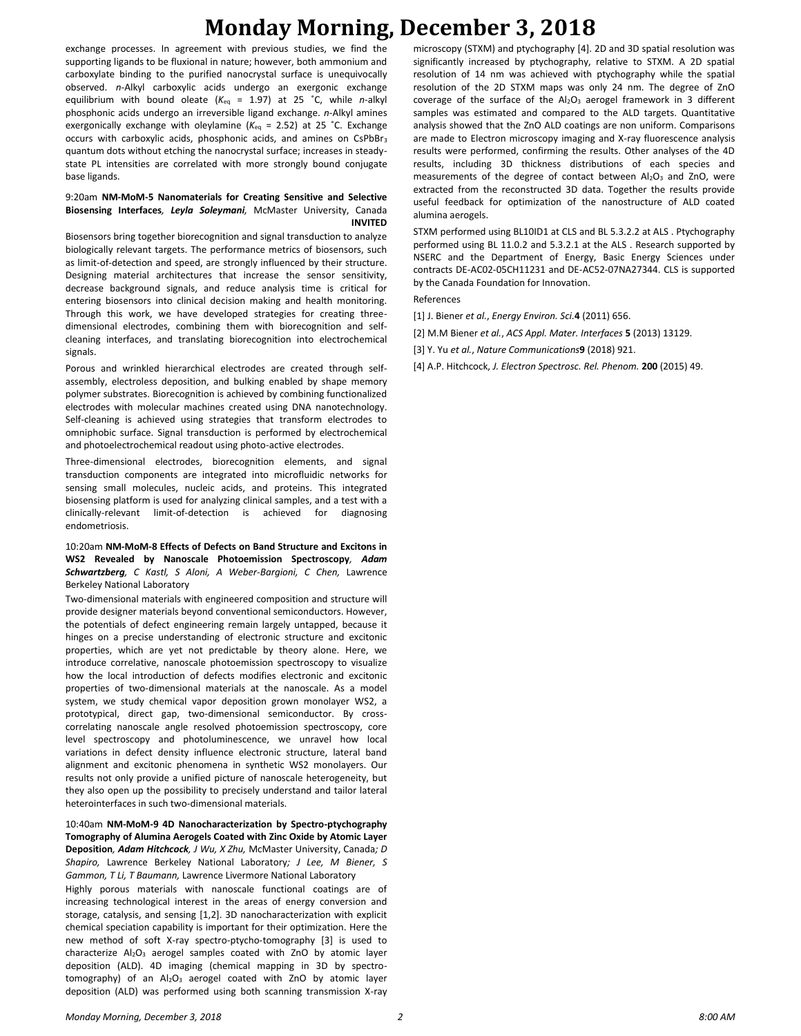# **Monday Morning, December 3, 2018**

exchange processes. In agreement with previous studies, we find the supporting ligands to be fluxional in nature; however, both ammonium and carboxylate binding to the purified nanocrystal surface is unequivocally observed. *n*-Alkyl carboxylic acids undergo an exergonic exchange equilibrium with bound oleate (*K*eq = 1.97) at 25 ˚C, while *n*-alkyl phosphonic acids undergo an irreversible ligand exchange. *n*-Alkyl amines exergonically exchange with oleylamine ( $K_{eq}$  = 2.52) at 25 °C. Exchange occurs with carboxylic acids, phosphonic acids, and amines on CsPbBr<sup>3</sup> quantum dots without etching the nanocrystal surface; increases in steadystate PL intensities are correlated with more strongly bound conjugate base ligands.

#### 9:20am **NM-MoM-5 Nanomaterials for Creating Sensitive and Selective Biosensing Interfaces***, Leyla Soleymani,* McMaster University, Canada **INVITED**

Biosensors bring together biorecognition and signal transduction to analyze biologically relevant targets. The performance metrics of biosensors, such as limit-of-detection and speed, are strongly influenced by their structure. Designing material architectures that increase the sensor sensitivity, decrease background signals, and reduce analysis time is critical for entering biosensors into clinical decision making and health monitoring. Through this work, we have developed strategies for creating threedimensional electrodes, combining them with biorecognition and selfcleaning interfaces, and translating biorecognition into electrochemical signals.

Porous and wrinkled hierarchical electrodes are created through selfassembly, electroless deposition, and bulking enabled by shape memory polymer substrates. Biorecognition is achieved by combining functionalized electrodes with molecular machines created using DNA nanotechnology. Self-cleaning is achieved using strategies that transform electrodes to omniphobic surface. Signal transduction is performed by electrochemical and photoelectrochemical readout using photo-active electrodes.

Three-dimensional electrodes, biorecognition elements, and signal transduction components are integrated into microfluidic networks for sensing small molecules, nucleic acids, and proteins. This integrated biosensing platform is used for analyzing clinical samples, and a test with a clinically-relevant limit-of-detection is achieved for diagnosing endometriosis.

#### 10:20am **NM-MoM-8 Effects of Defects on Band Structure and Excitons in WS2 Revealed by Nanoscale Photoemission Spectroscopy***, Adam Schwartzberg, C Kastl, S Aloni, A Weber-Bargioni, C Chen,* Lawrence Berkeley National Laboratory

Two-dimensional materials with engineered composition and structure will provide designer materials beyond conventional semiconductors. However, the potentials of defect engineering remain largely untapped, because it hinges on a precise understanding of electronic structure and excitonic properties, which are yet not predictable by theory alone. Here, we introduce correlative, nanoscale photoemission spectroscopy to visualize how the local introduction of defects modifies electronic and excitonic properties of two-dimensional materials at the nanoscale. As a model system, we study chemical vapor deposition grown monolayer WS2, a prototypical, direct gap, two-dimensional semiconductor. By crosscorrelating nanoscale angle resolved photoemission spectroscopy, core level spectroscopy and photoluminescence, we unravel how local variations in defect density influence electronic structure, lateral band alignment and excitonic phenomena in synthetic WS2 monolayers. Our results not only provide a unified picture of nanoscale heterogeneity, but they also open up the possibility to precisely understand and tailor lateral heterointerfaces in such two-dimensional materials.

#### 10:40am **NM-MoM-9 4D Nanocharacterization by Spectro-ptychography Tomography of Alumina Aerogels Coated with Zinc Oxide by Atomic Layer Deposition***, Adam Hitchcock, J Wu, X Zhu,* McMaster University, Canada*; D Shapiro,* Lawrence Berkeley National Laboratory*; J Lee, M Biener, S*

*Gammon, T Li, T Baumann,* Lawrence Livermore National Laboratory Highly porous materials with nanoscale functional coatings are of increasing technological interest in the areas of energy conversion and storage, catalysis, and sensing [1,2]. 3D nanocharacterization with explicit chemical speciation capability is important for their optimization. Here the new method of soft X-ray spectro-ptycho-tomography [3] is used to characterize Al<sub>2</sub>O<sub>3</sub> aerogel samples coated with ZnO by atomic layer deposition (ALD). 4D imaging (chemical mapping in 3D by spectrotomography) of an Al2O<sub>3</sub> aerogel coated with ZnO by atomic layer deposition (ALD) was performed using both scanning transmission X-ray microscopy (STXM) and ptychography [4]. 2D and 3D spatial resolution was significantly increased by ptychography, relative to STXM. A 2D spatial resolution of 14 nm was achieved with ptychography while the spatial resolution of the 2D STXM maps was only 24 nm. The degree of ZnO coverage of the surface of the  $Al_2O_3$  aerogel framework in 3 different samples was estimated and compared to the ALD targets. Quantitative analysis showed that the ZnO ALD coatings are non uniform. Comparisons are made to Electron microscopy imaging and X-ray fluorescence analysis results were performed, confirming the results. Other analyses of the 4D results, including 3D thickness distributions of each species and measurements of the degree of contact between  $Al_2O_3$  and ZnO, were extracted from the reconstructed 3D data. Together the results provide useful feedback for optimization of the nanostructure of ALD coated alumina aerogels.

STXM performed using BL10ID1 at CLS and BL 5.3.2.2 at ALS . Ptychography performed using BL 11.0.2 and 5.3.2.1 at the ALS . Research supported by NSERC and the Department of Energy, Basic Energy Sciences under contracts DE-AC02-05CH11231 and DE-AC52-07NA27344. CLS is supported by the Canada Foundation for Innovation.

#### References

[1] J. Biener *et al.*, *Energy Environ. Sci.***4** (2011) 656.

[2] M.M Biener *et al.*, *ACS Appl. Mater. Interfaces* **5** (2013) 13129.

- [3] Y. Yu *et al.*, *Nature Communications***9** (2018) 921.
- [4] A.P. Hitchcock, *J. Electron Spectrosc. Rel. Phenom.* **200** (2015) 49.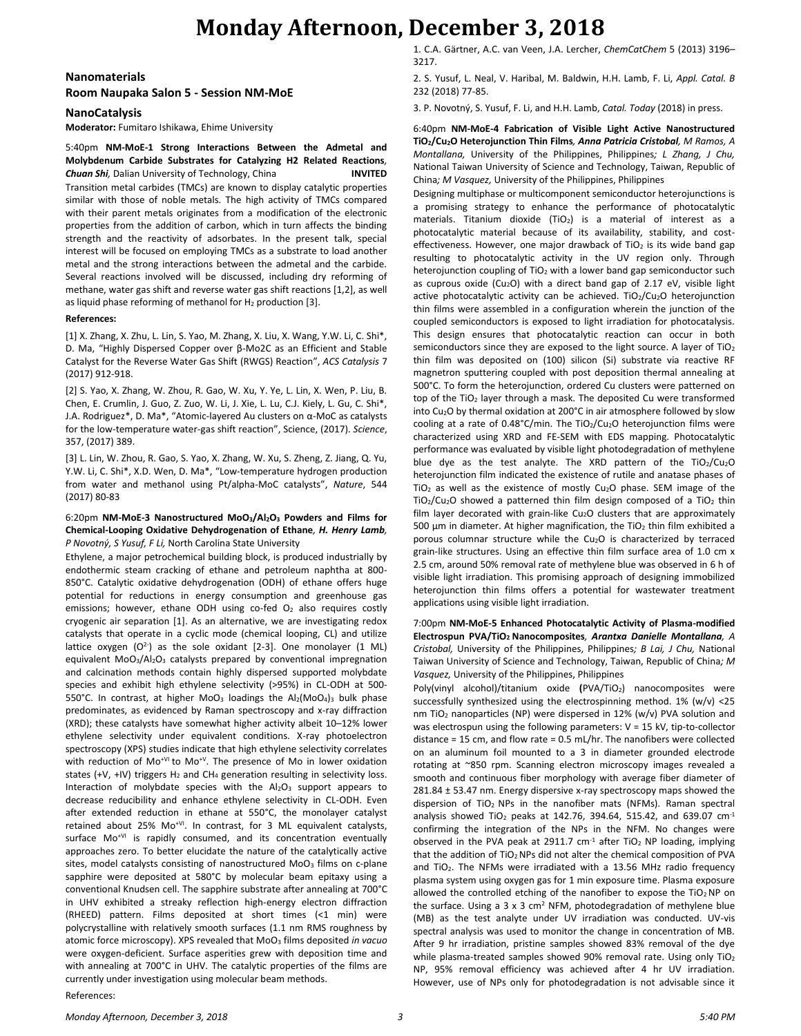### **Monday Afternoon, December 3, 2018**

### **Nanomaterials Room Naupaka Salon 5 - Session NM-MoE**

#### **NanoCatalysis**

**Moderator:** Fumitaro Ishikawa, Ehime University

5:40pm **NM-MoE-1 Strong Interactions Between the Admetal and Molybdenum Carbide Substrates for Catalyzing H2 Related Reactions***, Chuan Shi,* Dalian University of Technology, China **INVITED** Transition metal carbides (TMCs) are known to display catalytic properties similar with those of noble metals. The high activity of TMCs compared with their parent metals originates from a modification of the electronic properties from the addition of carbon, which in turn affects the binding strength and the reactivity of adsorbates. In the present talk, special interest will be focused on employing TMCs as a substrate to load another metal and the strong interactions between the admetal and the carbide. Several reactions involved will be discussed, including dry reforming of methane, water gas shift and reverse water gas shift reactions [1,2], as well as liquid phase reforming of methanol for  $H_2$  production [3].

#### **References:**

[1] X. Zhang, X. Zhu, L. Lin, S. Yao, M. Zhang, X. Liu, X. Wang, Y.W. Li, C. Shi\*, D. Ma, "Highly Dispersed Copper over β-Mo2C as an Efficient and Stable Catalyst for the Reverse Water Gas Shift (RWGS) Reaction", *ACS Catalysis* 7 (2017) 912-918.

[2] S. Yao, X. Zhang, W. Zhou, R. Gao, W. Xu, Y. Ye, L. Lin, X. Wen, P. Liu, B. Chen, E. Crumlin, J. Guo, Z. Zuo, W. Li, J. Xie, L. Lu, C.J. Kiely, L. Gu, C. Shi\*, J.A. Rodriguez\*, D. Ma\*, "Atomic-layered Au clusters on α-MoC as catalysts for the low-temperature water-gas shift reaction", Science, (2017). *Science*, 357, (2017) 389.

[3] L. Lin, W. Zhou, R. Gao, S. Yao, X. Zhang, W. Xu, S. Zheng, Z. Jiang, Q. Yu, Y.W. Li, C. Shi\*, X.D. Wen, D. Ma\*, "Low-temperature hydrogen production from water and methanol using Pt/alpha-MoC catalysts", *Nature*, 544 (2017) 80-83

#### 6:20pm **NM-MoE-3 Nanostructured MoO3/Al2O<sup>3</sup> Powders and Films for Chemical-Looping Oxidative Dehydrogenation of Ethane***, H. Henry Lamb, P Novotný, S Yusuf, F Li,* North Carolina State University

Ethylene, a major petrochemical building block, is produced industrially by endothermic steam cracking of ethane and petroleum naphtha at 800- 850°C. Catalytic oxidative dehydrogenation (ODH) of ethane offers huge potential for reductions in energy consumption and greenhouse gas emissions; however, ethane ODH using co-fed  $O<sub>2</sub>$  also requires costly cryogenic air separation [1]. As an alternative, we are investigating redox catalysts that operate in a cyclic mode (chemical looping, CL) and utilize lattice oxygen (O<sup>2</sup>) as the sole oxidant [2-3]. One monolayer (1 ML) equivalent MoO<sub>3</sub>/Al<sub>2</sub>O<sub>3</sub> catalysts prepared by conventional impregnation and calcination methods contain highly dispersed supported molybdate species and exhibit high ethylene selectivity (>95%) in CL-ODH at 500- 550°C. In contrast, at higher MoO<sub>3</sub> loadings the  $Al_2(MOO_4)_3$  bulk phase predominates, as evidenced by Raman spectroscopy and x-ray diffraction (XRD); these catalysts have somewhat higher activity albeit 10–12% lower ethylene selectivity under equivalent conditions. X-ray photoelectron spectroscopy (XPS) studies indicate that high ethylene selectivity correlates with reduction of Mo<sup>+VI</sup> to Mo<sup>+V</sup>. The presence of Mo in lower oxidation states (+V, +IV) triggers  $H_2$  and CH<sub>4</sub> generation resulting in selectivity loss. Interaction of molybdate species with the  $Al_2O_3$  support appears to decrease reducibility and enhance ethylene selectivity in CL-ODH. Even after extended reduction in ethane at 550°C, the monolayer catalyst retained about 25% Mo<sup>+VI</sup>. In contrast, for 3 ML equivalent catalysts, surface Mo<sup>+VI</sup> is rapidly consumed, and its concentration eventually approaches zero. To better elucidate the nature of the catalytically active sites, model catalysts consisting of nanostructured MoO<sub>3</sub> films on c-plane sapphire were deposited at 580°C by molecular beam epitaxy using a conventional Knudsen cell. The sapphire substrate after annealing at 700°C in UHV exhibited a streaky reflection high-energy electron diffraction (RHEED) pattern. Films deposited at short times (<1 min) were polycrystalline with relatively smooth surfaces (1.1 nm RMS roughness by atomic force microscopy). XPS revealed that MoO<sup>3</sup> films deposited *in vacuo* were oxygen-deficient. Surface asperities grew with deposition time and with annealing at 700°C in UHV. The catalytic properties of the films are currently under investigation using molecular beam methods.

1. C.A. Gärtner, A.C. van Veen, J.A. Lercher, *ChemCatChem* 5 (2013) 3196– 3217.

2. S. Yusuf, L. Neal, V. Haribal, M. Baldwin, H.H. Lamb, F. Li, *Appl. Catal. B* 232 (2018) 77-85.

3. P. Novotný, S. Yusuf, F. Li, and H.H. Lamb, *Catal. Today* (2018) in press.

6:40pm **NM-MoE-4 Fabrication of Visible Light Active Nanostructured TiO2/Cu2O Heterojunction Thin Films***, Anna Patricia Cristobal, M Ramos, A Montallana,* University of the Philippines, Philippines*; L Zhang, J Chu,*  National Taiwan University of Science and Technology, Taiwan, Republic of China*; M Vasquez,* University of the Philippines, Philippines

Designing multiphase or multicomponent semiconductor heterojunctions is a promising strategy to enhance the performance of photocatalytic materials. Titanium dioxide  $(TiO<sub>2</sub>)$  is a material of interest as a photocatalytic material because of its availability, stability, and costeffectiveness. However, one major drawback of  $TiO<sub>2</sub>$  is its wide band gap resulting to photocatalytic activity in the UV region only. Through heterojunction coupling of  $TiO<sub>2</sub>$  with a lower band gap semiconductor such as cuprous oxide (Cu<sub>2</sub>O) with a direct band gap of 2.17 eV, visible light active photocatalytic activity can be achieved. TiO $_2$ /Cu $_2$ O heterojunction thin films were assembled in a configuration wherein the junction of the coupled semiconductors is exposed to light irradiation for photocatalysis. This design ensures that photocatalytic reaction can occur in both semiconductors since they are exposed to the light source. A layer of  $TiO<sub>2</sub>$ thin film was deposited on (100) silicon (Si) substrate via reactive RF magnetron sputtering coupled with post deposition thermal annealing at 500°C. To form the heterojunction, ordered Cu clusters were patterned on top of the  $TiO<sub>2</sub>$  layer through a mask. The deposited Cu were transformed into Cu2O by thermal oxidation at 200°C in air atmosphere followed by slow cooling at a rate of 0.48°C/min. The TiO2/Cu2O heterojunction films were characterized using XRD and FE-SEM with EDS mapping. Photocatalytic performance was evaluated by visible light photodegradation of methylene blue dye as the test analyte. The XRD pattern of the  $TiO<sub>2</sub>/Cu<sub>2</sub>O$ heterojunction film indicated the existence of rutile and anatase phases of TiO<sub>2</sub> as well as the existence of mostly Cu<sub>2</sub>O phase. SEM image of the  $TiO<sub>2</sub>/Cu<sub>2</sub>O$  showed a patterned thin film design composed of a  $TiO<sub>2</sub>$  thin film layer decorated with grain-like  $Cu<sub>2</sub>O$  clusters that are approximately 500  $\mu$ m in diameter. At higher magnification, the TiO<sub>2</sub> thin film exhibited a porous columnar structure while the Cu<sub>2</sub>O is characterized by terraced grain-like structures. Using an effective thin film surface area of 1.0 cm x 2.5 cm, around 50% removal rate of methylene blue was observed in 6 h of visible light irradiation. This promising approach of designing immobilized heterojunction thin films offers a potential for wastewater treatment applications using visible light irradiation.

7:00pm **NM-MoE-5 Enhanced Photocatalytic Activity of Plasma-modified Electrospun PVA/TiO2 Nanocomposites***, Arantxa Danielle Montallana, A Cristobal,* University of the Philippines, Philippines*; B Lai, J Chu,* National Taiwan University of Science and Technology, Taiwan, Republic of China*; M Vasquez,* University of the Philippines, Philippines

Poly(vinyl alcohol)/titanium oxide **(**PVA/TiO2) nanocomposites were successfully synthesized using the electrospinning method. 1% (w/v) <25 nm TiO<sup>2</sup> nanoparticles (NP) were dispersed in 12% (w/v) PVA solution and was electrospun using the following parameters: V = 15 kV, tip-to-collector distance = 15 cm, and flow rate = 0.5 mL/hr. The nanofibers were collected on an aluminum foil mounted to a 3 in diameter grounded electrode rotating at ~850 rpm. Scanning electron microscopy images revealed a smooth and continuous fiber morphology with average fiber diameter of 281.84 ± 53.47 nm. Energy dispersive x-ray spectroscopy maps showed the dispersion of TiO<sub>2</sub> NPs in the nanofiber mats (NFMs). Raman spectral analysis showed TiO<sub>2</sub> peaks at 142.76, 394.64, 515.42, and 639.07  $cm<sup>-1</sup>$ confirming the integration of the NPs in the NFM. No changes were observed in the PVA peak at 2911.7  $cm<sup>-1</sup>$  after TiO<sub>2</sub> NP loading, implying that the addition of  $TiO<sub>2</sub>$  NPs did not alter the chemical composition of PVA and  $TiO<sub>2</sub>$ . The NFMs were irradiated with a 13.56 MHz radio frequency plasma system using oxygen gas for 1 min exposure time. Plasma exposure allowed the controlled etching of the nanofiber to expose the  $TiO<sub>2</sub> NP$  on the surface. Using a 3 x 3 cm<sup>2</sup> NFM, photodegradation of methylene blue (MB) as the test analyte under UV irradiation was conducted. UV-vis spectral analysis was used to monitor the change in concentration of MB. After 9 hr irradiation, pristine samples showed 83% removal of the dye while plasma-treated samples showed 90% removal rate. Using only TiO<sub>2</sub> NP, 95% removal efficiency was achieved after 4 hr UV irradiation. However, use of NPs only for photodegradation is not advisable since it

References: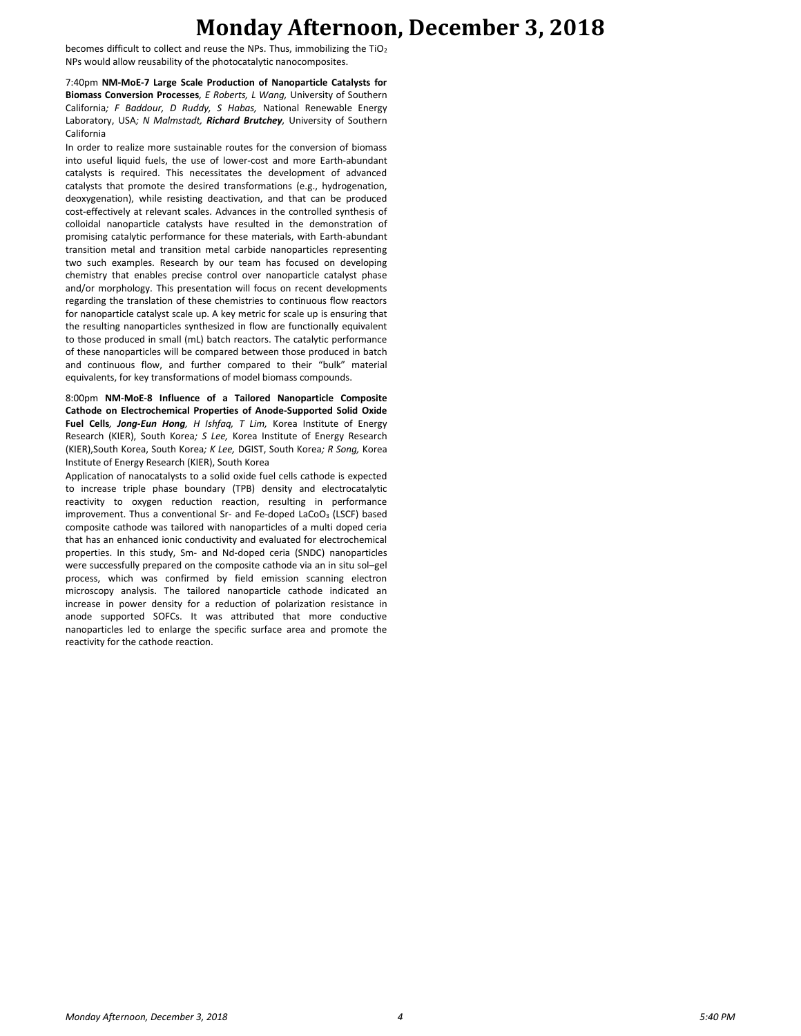### **Monday Afternoon, December 3, 2018**

becomes difficult to collect and reuse the NPs. Thus, immobilizing the  $TiO<sub>2</sub>$ NPs would allow reusability of the photocatalytic nanocomposites.

7:40pm **NM-MoE-7 Large Scale Production of Nanoparticle Catalysts for Biomass Conversion Processes***, E Roberts, L Wang,* University of Southern California*; F Baddour, D Ruddy, S Habas,* National Renewable Energy Laboratory, USA*; N Malmstadt, Richard Brutchey,* University of Southern California

In order to realize more sustainable routes for the conversion of biomass into useful liquid fuels, the use of lower-cost and more Earth-abundant catalysts is required. This necessitates the development of advanced catalysts that promote the desired transformations (e.g., hydrogenation, deoxygenation), while resisting deactivation, and that can be produced cost-effectively at relevant scales. Advances in the controlled synthesis of colloidal nanoparticle catalysts have resulted in the demonstration of promising catalytic performance for these materials, with Earth-abundant transition metal and transition metal carbide nanoparticles representing two such examples. Research by our team has focused on developing chemistry that enables precise control over nanoparticle catalyst phase and/or morphology. This presentation will focus on recent developments regarding the translation of these chemistries to continuous flow reactors for nanoparticle catalyst scale up. A key metric for scale up is ensuring that the resulting nanoparticles synthesized in flow are functionally equivalent to those produced in small (mL) batch reactors. The catalytic performance of these nanoparticles will be compared between those produced in batch and continuous flow, and further compared to their "bulk" material equivalents, for key transformations of model biomass compounds.

8:00pm **NM-MoE-8 Influence of a Tailored Nanoparticle Composite Cathode on Electrochemical Properties of Anode-Supported Solid Oxide Fuel Cells***, Jong-Eun Hong, H Ishfaq, T Lim,* Korea Institute of Energy Research (KIER), South Korea*; S Lee,* Korea Institute of Energy Research (KIER),South Korea, South Korea*; K Lee,* DGIST, South Korea*; R Song,* Korea Institute of Energy Research (KIER), South Korea

Application of nanocatalysts to a solid oxide fuel cells cathode is expected to increase triple phase boundary (TPB) density and electrocatalytic reactivity to oxygen reduction reaction, resulting in performance improvement. Thus a conventional Sr- and Fe-doped LaCoO<sub>3</sub> (LSCF) based composite cathode was tailored with nanoparticles of a multi doped ceria that has an enhanced ionic conductivity and evaluated for electrochemical properties. In this study, Sm- and Nd-doped ceria (SNDC) nanoparticles were successfully prepared on the composite cathode via an in situ sol–gel process, which was confirmed by field emission scanning electron microscopy analysis. The tailored nanoparticle cathode indicated an increase in power density for a reduction of polarization resistance in anode supported SOFCs. It was attributed that more conductive nanoparticles led to enlarge the specific surface area and promote the reactivity for the cathode reaction.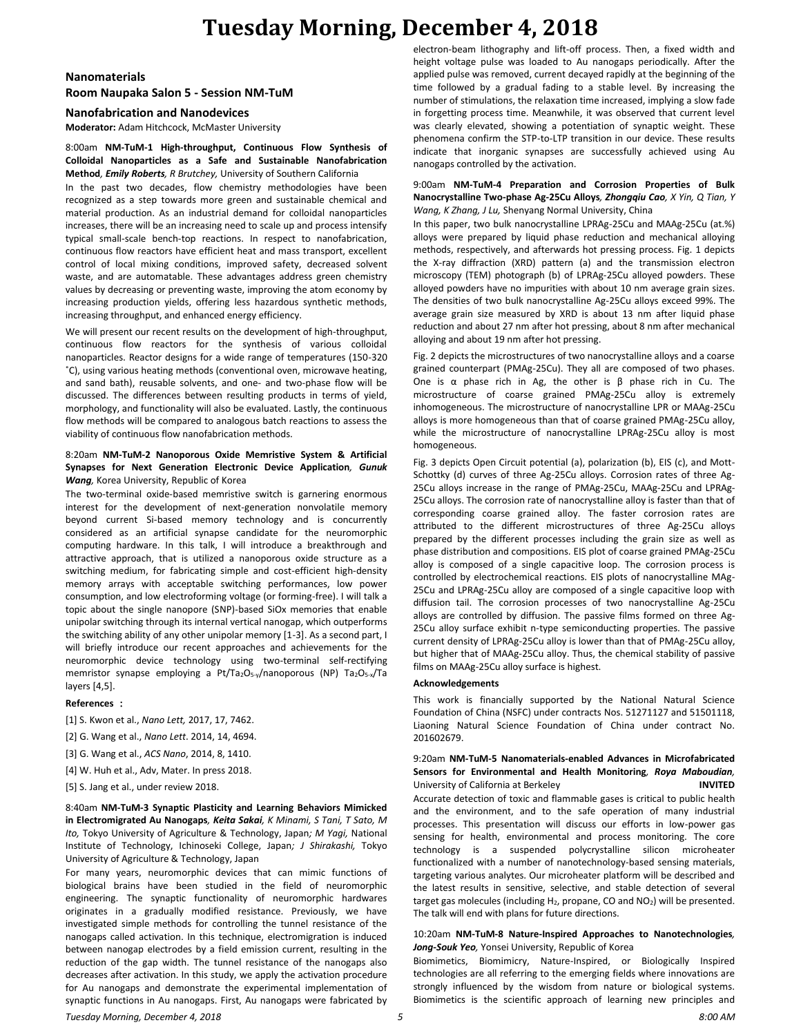## **Tuesday Morning, December 4, 2018**

#### **Nanomaterials**

**Room Naupaka Salon 5 - Session NM-TuM**

**Nanofabrication and Nanodevices**

**Moderator:** Adam Hitchcock, McMaster University

#### 8:00am **NM-TuM-1 High-throughput, Continuous Flow Synthesis of Colloidal Nanoparticles as a Safe and Sustainable Nanofabrication Method***, Emily Roberts, R Brutchey,* University of Southern California

In the past two decades, flow chemistry methodologies have been recognized as a step towards more green and sustainable chemical and material production. As an industrial demand for colloidal nanoparticles increases, there will be an increasing need to scale up and process intensify typical small-scale bench-top reactions. In respect to nanofabrication, continuous flow reactors have efficient heat and mass transport, excellent control of local mixing conditions, improved safety, decreased solvent waste, and are automatable. These advantages address green chemistry values by decreasing or preventing waste, improving the atom economy by increasing production yields, offering less hazardous synthetic methods, increasing throughput, and enhanced energy efficiency.

We will present our recent results on the development of high-throughput, continuous flow reactors for the synthesis of various colloidal nanoparticles. Reactor designs for a wide range of temperatures (150-320 ˚C), using various heating methods (conventional oven, microwave heating, and sand bath), reusable solvents, and one- and two-phase flow will be discussed. The differences between resulting products in terms of yield, morphology, and functionality will also be evaluated. Lastly, the continuous flow methods will be compared to analogous batch reactions to assess the viability of continuous flow nanofabrication methods.

#### 8:20am **NM-TuM-2 Nanoporous Oxide Memristive System & Artificial Synapses for Next Generation Electronic Device Application***, Gunuk Wang,* Korea University, Republic of Korea

The two-terminal oxide-based memristive switch is garnering enormous interest for the development of next-generation nonvolatile memory beyond current Si-based memory technology and is concurrently considered as an artificial synapse candidate for the neuromorphic computing hardware. In this talk, I will introduce a breakthrough and attractive approach, that is utilized a nanoporous oxide structure as a switching medium, for fabricating simple and cost-efficient high-density memory arrays with acceptable switching performances, low power consumption, and low electroforming voltage (or forming-free). I will talk a topic about the single nanopore (SNP)-based SiOx memories that enable unipolar switching through its internal vertical nanogap, which outperforms the switching ability of any other unipolar memory [1-3]. As a second part, I will briefly introduce our recent approaches and achievements for the neuromorphic device technology using two-terminal self-rectifying memristor synapse employing a Pt/Ta<sub>2</sub>O<sub>5-y</sub>/nanoporous (NP) Ta<sub>2</sub>O<sub>5-x</sub>/Ta layers [4,5].

#### **References** :

[1] S. Kwon et al., *Nano Lett,* 2017, 17, 7462.

[2] G. Wang et al., *Nano Lett*. 2014, 14, 4694.

[3] G. Wang et al., *ACS Nano*, 2014, 8, 1410.

[4] W. Huh et al., Adv, Mater. In press 2018.

[5] S. Jang et al., under review 2018.

#### 8:40am **NM-TuM-3 Synaptic Plasticity and Learning Behaviors Mimicked in Electromigrated Au Nanogaps***, Keita Sakai, K Minami, S Tani, T Sato, M Ito,* Tokyo University of Agriculture & Technology, Japan*; M Yagi,* National Institute of Technology, Ichinoseki College, Japan*; J Shirakashi,* Tokyo University of Agriculture & Technology, Japan

For many years, neuromorphic devices that can mimic functions of biological brains have been studied in the field of neuromorphic engineering. The synaptic functionality of neuromorphic hardwares originates in a gradually modified resistance. Previously, we have investigated simple methods for controlling the tunnel resistance of the nanogaps called activation. In this technique, electromigration is induced between nanogap electrodes by a field emission current, resulting in the reduction of the gap width. The tunnel resistance of the nanogaps also decreases after activation. In this study, we apply the activation procedure for Au nanogaps and demonstrate the experimental implementation of synaptic functions in Au nanogaps. First, Au nanogaps were fabricated by electron-beam lithography and lift-off process. Then, a fixed width and height voltage pulse was loaded to Au nanogaps periodically. After the applied pulse was removed, current decayed rapidly at the beginning of the time followed by a gradual fading to a stable level. By increasing the number of stimulations, the relaxation time increased, implying a slow fade in forgetting process time. Meanwhile, it was observed that current level was clearly elevated, showing a potentiation of synaptic weight. These phenomena confirm the STP-to-LTP transition in our device. These results indicate that inorganic synapses are successfully achieved using Au nanogaps controlled by the activation.

#### 9:00am **NM-TuM-4 Preparation and Corrosion Properties of Bulk Nanocrystalline Two-phase Ag-25Cu Alloys***, Zhongqiu Cao, X Yin, Q Tian, Y Wang, K Zhang, J Lu,* Shenyang Normal University, China

In this paper, two bulk nanocrystalline LPRAg-25Cu and MAAg-25Cu (at.%) alloys were prepared by liquid phase reduction and mechanical alloying methods, respectively, and afterwards hot pressing process. Fig. 1 depicts the X-ray diffraction (XRD) pattern (a) and the transmission electron microscopy (TEM) photograph (b) of LPRAg-25Cu alloyed powders. These alloyed powders have no impurities with about 10 nm average grain sizes. The densities of two bulk nanocrystalline Ag-25Cu alloys exceed 99%. The average grain size measured by XRD is about 13 nm after liquid phase reduction and about 27 nm after hot pressing, about 8 nm after mechanical alloying and about 19 nm after hot pressing.

Fig. 2 depicts the microstructures of two nanocrystalline alloys and a coarse grained counterpart (PMAg-25Cu). They all are composed of two phases. One is  $\alpha$  phase rich in Ag, the other is  $\beta$  phase rich in Cu. The microstructure of coarse grained PMAg-25Cu alloy is extremely inhomogeneous. The microstructure of nanocrystalline LPR or MAAg-25Cu alloys is more homogeneous than that of coarse grained PMAg-25Cu alloy, while the microstructure of nanocrystalline LPRAg-25Cu alloy is most homogeneous.

Fig. 3 depicts Open Circuit potential (a), polarization (b), EIS (c), and Mott-Schottky (d) curves of three Ag-25Cu alloys. Corrosion rates of three Ag-25Cu alloys increase in the range of PMAg-25Cu, MAAg-25Cu and LPRAg-25Cu alloys. The corrosion rate of nanocrystalline alloy is faster than that of corresponding coarse grained alloy. The faster corrosion rates are attributed to the different microstructures of three Ag-25Cu alloys prepared by the different processes including the grain size as well as phase distribution and compositions. EIS plot of coarse grained PMAg-25Cu alloy is composed of a single capacitive loop. The corrosion process is controlled by electrochemical reactions. EIS plots of nanocrystalline MAg-25Cu and LPRAg-25Cu alloy are composed of a single capacitive loop with diffusion tail. The corrosion processes of two nanocrystalline Ag-25Cu alloys are controlled by diffusion. The passive films formed on three Ag-25Cu alloy surface exhibit n-type semiconducting properties. The passive current density of LPRAg-25Cu alloy is lower than that of PMAg-25Cu alloy, but higher that of MAAg-25Cu alloy. Thus, the chemical stability of passive films on MAAg-25Cu alloy surface is highest.

#### **Acknowledgements**

This work is financially supported by the National Natural Science Foundation of China (NSFC) under contracts Nos. 51271127 and 51501118, Liaoning Natural Science Foundation of China under contract No. 201602679.

#### 9:20am **NM-TuM-5 Nanomaterials-enabled Advances in Microfabricated Sensors for Environmental and Health Monitoring***, Roya Maboudian,*  University of California at Berkeley **INVITED**

Accurate detection of toxic and flammable gases is critical to public health and the environment, and to the safe operation of many industrial processes. This presentation will discuss our efforts in low-power gas sensing for health, environmental and process monitoring. The core technology is a suspended polycrystalline silicon microheater functionalized with a number of nanotechnology-based sensing materials, targeting various analytes. Our microheater platform will be described and the latest results in sensitive, selective, and stable detection of several target gas molecules (including  $H_2$ , propane, CO and NO<sub>2</sub>) will be presented. The talk will end with plans for future directions.

#### 10:20am **NM-TuM-8 Nature-Inspired Approaches to Nanotechnologies***, Jong-Souk Yeo,* Yonsei University, Republic of Korea

Biomimetics, Biomimicry, Nature-Inspired, or Biologically Inspired technologies are all referring to the emerging fields where innovations are strongly influenced by the wisdom from nature or biological systems. Biomimetics is the scientific approach of learning new principles and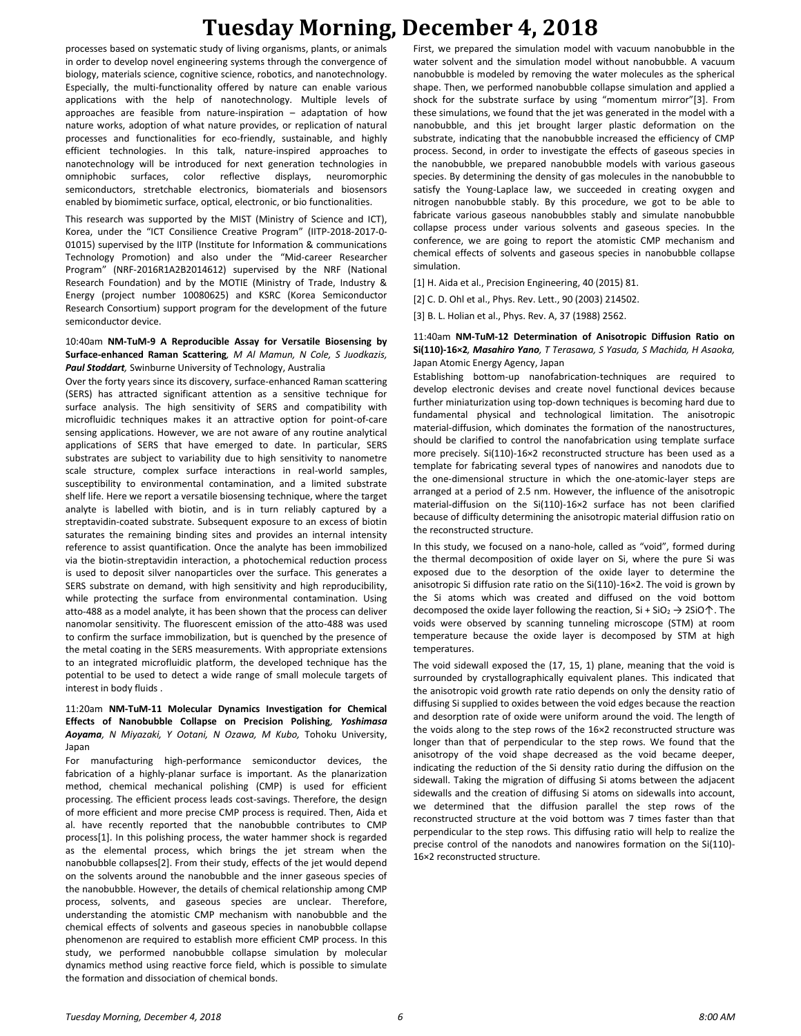# **Tuesday Morning, December 4, 2018**

processes based on systematic study of living organisms, plants, or animals in order to develop novel engineering systems through the convergence of biology, materials science, cognitive science, robotics, and nanotechnology. Especially, the multi-functionality offered by nature can enable various applications with the help of nanotechnology. Multiple levels of approaches are feasible from nature-inspiration – adaptation of how nature works, adoption of what nature provides, or replication of natural processes and functionalities for eco-friendly, sustainable, and highly efficient technologies. In this talk, nature-inspired approaches to nanotechnology will be introduced for next generation technologies in omniphobic surfaces, color reflective displays, neuromorphic semiconductors, stretchable electronics, biomaterials and biosensors enabled by biomimetic surface, optical, electronic, or bio functionalities.

This research was supported by the MIST (Ministry of Science and ICT), Korea, under the "ICT Consilience Creative Program" (IITP-2018-2017-0- 01015) supervised by the IITP (Institute for Information & communications Technology Promotion) and also under the "Mid-career Researcher Program" (NRF-2016R1A2B2014612) supervised by the NRF (National Research Foundation) and by the MOTIE (Ministry of Trade, Industry & Energy (project number 10080625) and KSRC (Korea Semiconductor Research Consortium) support program for the development of the future semiconductor device.

#### 10:40am **NM-TuM-9 A Reproducible Assay for Versatile Biosensing by Surface-enhanced Raman Scattering***, M Al Mamun, N Cole, S Juodkazis, Paul Stoddart,* Swinburne University of Technology, Australia

Over the forty years since its discovery, surface-enhanced Raman scattering (SERS) has attracted significant attention as a sensitive technique for surface analysis. The high sensitivity of SERS and compatibility with microfluidic techniques makes it an attractive option for point-of-care sensing applications. However, we are not aware of any routine analytical applications of SERS that have emerged to date. In particular, SERS substrates are subject to variability due to high sensitivity to nanometre scale structure, complex surface interactions in real-world samples, susceptibility to environmental contamination, and a limited substrate shelf life. Here we report a versatile biosensing technique, where the target analyte is labelled with biotin, and is in turn reliably captured by a streptavidin-coated substrate. Subsequent exposure to an excess of biotin saturates the remaining binding sites and provides an internal intensity reference to assist quantification. Once the analyte has been immobilized via the biotin-streptavidin interaction, a photochemical reduction process is used to deposit silver nanoparticles over the surface. This generates a SERS substrate on demand, with high sensitivity and high reproducibility, while protecting the surface from environmental contamination. Using atto-488 as a model analyte, it has been shown that the process can deliver nanomolar sensitivity. The fluorescent emission of the atto-488 was used to confirm the surface immobilization, but is quenched by the presence of the metal coating in the SERS measurements. With appropriate extensions to an integrated microfluidic platform, the developed technique has the potential to be used to detect a wide range of small molecule targets of interest in body fluids .

#### 11:20am **NM-TuM-11 Molecular Dynamics Investigation for Chemical Effects of Nanobubble Collapse on Precision Polishing***, Yoshimasa Aoyama, N Miyazaki, Y Ootani, N Ozawa, M Kubo,* Tohoku University, Japan

For manufacturing high-performance semiconductor devices, the fabrication of a highly-planar surface is important. As the planarization method, chemical mechanical polishing (CMP) is used for efficient processing. The efficient process leads cost-savings. Therefore, the design of more efficient and more precise CMP process is required. Then, Aida et al. have recently reported that the nanobubble contributes to CMP process[1]. In this polishing process, the water hammer shock is regarded as the elemental process, which brings the jet stream when the nanobubble collapses[2]. From their study, effects of the jet would depend on the solvents around the nanobubble and the inner gaseous species of the nanobubble. However, the details of chemical relationship among CMP process, solvents, and gaseous species are unclear. Therefore, understanding the atomistic CMP mechanism with nanobubble and the chemical effects of solvents and gaseous species in nanobubble collapse phenomenon are required to establish more efficient CMP process. In this study, we performed nanobubble collapse simulation by molecular dynamics method using reactive force field, which is possible to simulate the formation and dissociation of chemical bonds.

First, we prepared the simulation model with vacuum nanobubble in the water solvent and the simulation model without nanobubble. A vacuum nanobubble is modeled by removing the water molecules as the spherical shape. Then, we performed nanobubble collapse simulation and applied a shock for the substrate surface by using "momentum mirror"[3]. From these simulations, we found that the jet was generated in the model with a nanobubble, and this jet brought larger plastic deformation on the substrate, indicating that the nanobubble increased the efficiency of CMP process. Second, in order to investigate the effects of gaseous species in the nanobubble, we prepared nanobubble models with various gaseous species. By determining the density of gas molecules in the nanobubble to satisfy the Young-Laplace law, we succeeded in creating oxygen and nitrogen nanobubble stably. By this procedure, we got to be able to fabricate various gaseous nanobubbles stably and simulate nanobubble collapse process under various solvents and gaseous species. In the conference, we are going to report the atomistic CMP mechanism and chemical effects of solvents and gaseous species in nanobubble collapse simulation.

- [1] H. Aida et al., Precision Engineering, 40 (2015) 81.
- [2] C. D. Ohl et al., Phys. Rev. Lett., 90 (2003) 214502.
- [3] B. L. Holian et al., Phys. Rev. A, 37 (1988) 2562.

#### 11:40am **NM-TuM-12 Determination of Anisotropic Diffusion Ratio on Si(110)-16×2***, Masahiro Yano, T Terasawa, S Yasuda, S Machida, H Asaoka,*  Japan Atomic Energy Agency, Japan

Establishing bottom-up nanofabrication-techniques are required to develop electronic devises and create novel functional devices because further miniaturization using top-down techniques is becoming hard due to fundamental physical and technological limitation. The anisotropic material-diffusion, which dominates the formation of the nanostructures, should be clarified to control the nanofabrication using template surface more precisely. Si(110)-16×2 reconstructed structure has been used as a template for fabricating several types of nanowires and nanodots due to the one-dimensional structure in which the one-atomic-layer steps are arranged at a period of 2.5 nm. However, the influence of the anisotropic material-diffusion on the Si(110)-16×2 surface has not been clarified because of difficulty determining the anisotropic material diffusion ratio on the reconstructed structure.

In this study, we focused on a nano-hole, called as "void", formed during the thermal decomposition of oxide layer on Si, where the pure Si was exposed due to the desorption of the oxide layer to determine the anisotropic Si diffusion rate ratio on the Si(110)-16×2. The void is grown by the Si atoms which was created and diffused on the void bottom decomposed the oxide layer following the reaction, Si + SiO<sub>2</sub>  $\rightarrow$  2SiO $\uparrow$ . The voids were observed by scanning tunneling microscope (STM) at room temperature because the oxide layer is decomposed by STM at high temperatures.

The void sidewall exposed the (17, 15, 1) plane, meaning that the void is surrounded by crystallographically equivalent planes. This indicated that the anisotropic void growth rate ratio depends on only the density ratio of diffusing Si supplied to oxides between the void edges because the reaction and desorption rate of oxide were uniform around the void. The length of the voids along to the step rows of the 16×2 reconstructed structure was longer than that of perpendicular to the step rows. We found that the anisotropy of the void shape decreased as the void became deeper, indicating the reduction of the Si density ratio during the diffusion on the sidewall. Taking the migration of diffusing Si atoms between the adjacent sidewalls and the creation of diffusing Si atoms on sidewalls into account, we determined that the diffusion parallel the step rows of the reconstructed structure at the void bottom was 7 times faster than that perpendicular to the step rows. This diffusing ratio will help to realize the precise control of the nanodots and nanowires formation on the Si(110)- 16×2 reconstructed structure.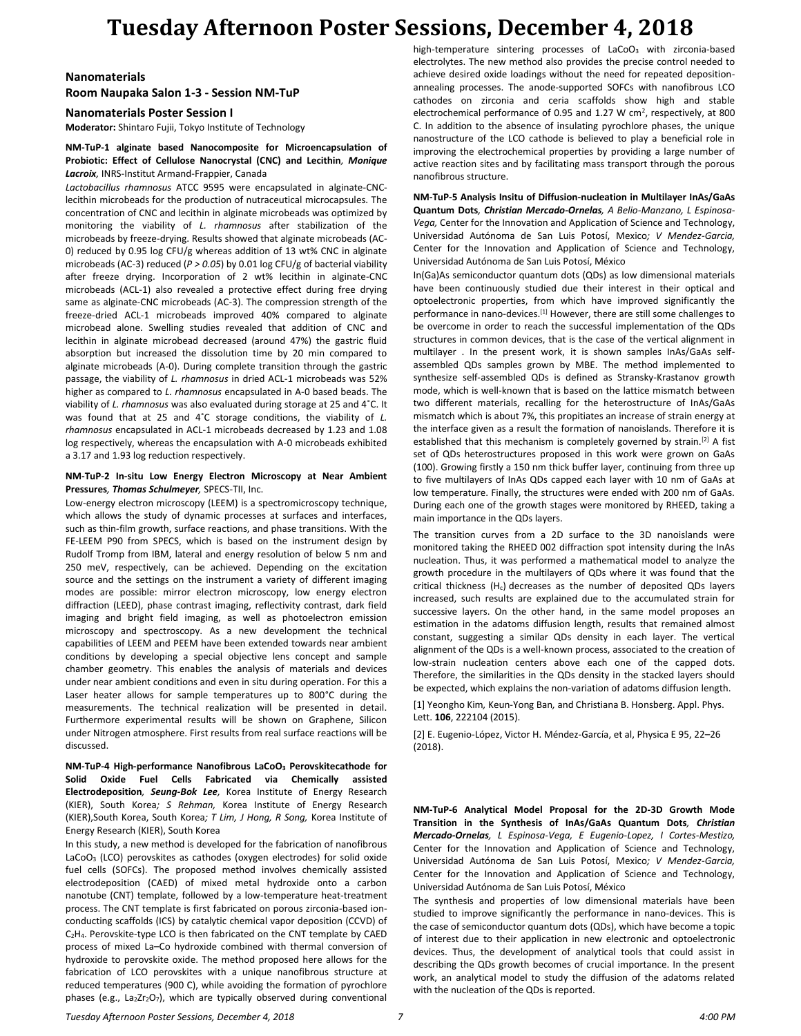#### **Nanomaterials**

**Room Naupaka Salon 1-3 - Session NM-TuP**

**Nanomaterials Poster Session I**

**Moderator:** Shintaro Fujii, Tokyo Institute of Technology

#### **NM-TuP-1 alginate based Nanocomposite for Microencapsulation of Probiotic: Effect of Cellulose Nanocrystal (CNC) and Lecithin***, Monique Lacroix,* INRS-Institut Armand-Frappier, Canada

*Lactobacillus rhamnosus* ATCC 9595 were encapsulated in alginate-CNClecithin microbeads for the production of nutraceutical microcapsules. The concentration of CNC and lecithin in alginate microbeads was optimized by monitoring the viability of *L. rhamnosus* after stabilization of the microbeads by freeze-drying. Results showed that alginate microbeads (AC-0) reduced by 0.95 log CFU/g whereas addition of 13 wt% CNC in alginate microbeads (AC-3) reduced (*P > 0.05*) by 0.01 log CFU/g of bacterial viability after freeze drying. Incorporation of 2 wt% lecithin in alginate-CNC microbeads (ACL-1) also revealed a protective effect during free drying same as alginate-CNC microbeads (AC-3). The compression strength of the freeze-dried ACL-1 microbeads improved 40% compared to alginate microbead alone. Swelling studies revealed that addition of CNC and lecithin in alginate microbead decreased (around 47%) the gastric fluid absorption but increased the dissolution time by 20 min compared to alginate microbeads (A-0). During complete transition through the gastric passage, the viability of *L. rhamnosus* in dried ACL-1 microbeads was 52% higher as compared to *L. rhamnosus* encapsulated in A-0 based beads. The viability of *L. rhamnosus* was also evaluated during storage at 25 and 4˚C. It was found that at 25 and 4˚C storage conditions, the viability of *L. rhamnosus* encapsulated in ACL-1 microbeads decreased by 1.23 and 1.08 log respectively, whereas the encapsulation with A-0 microbeads exhibited a 3.17 and 1.93 log reduction respectively.

#### **NM-TuP-2 In-situ Low Energy Electron Microscopy at Near Ambient Pressures***, Thomas Schulmeyer,* SPECS-TII, Inc.

Low-energy electron microscopy (LEEM) is a spectromicroscopy technique, which allows the study of dynamic processes at surfaces and interfaces. such as thin-film growth, surface reactions, and phase transitions. With the FE-LEEM P90 from SPECS, which is based on the instrument design by Rudolf Tromp from IBM, lateral and energy resolution of below 5 nm and 250 meV, respectively, can be achieved. Depending on the excitation source and the settings on the instrument a variety of different imaging modes are possible: mirror electron microscopy, low energy electron diffraction (LEED), phase contrast imaging, reflectivity contrast, dark field imaging and bright field imaging, as well as photoelectron emission microscopy and spectroscopy. As a new development the technical capabilities of LEEM and PEEM have been extended towards near ambient conditions by developing a special objective lens concept and sample chamber geometry. This enables the analysis of materials and devices under near ambient conditions and even in situ during operation. For this a Laser heater allows for sample temperatures up to 800°C during the measurements. The technical realization will be presented in detail. Furthermore experimental results will be shown on Graphene, Silicon under Nitrogen atmosphere. First results from real surface reactions will be discussed.

**NM-TuP-4 High-performance Nanofibrous LaCoO<sup>3</sup> Perovskitecathode for Solid Oxide Fuel Cells Fabricated via Chemically assisted Electrodeposition***, Seung-Bok Lee,* Korea Institute of Energy Research (KIER), South Korea*; S Rehman,* Korea Institute of Energy Research (KIER),South Korea, South Korea*; T Lim, J Hong, R Song,* Korea Institute of Energy Research (KIER), South Korea

In this study, a new method is developed for the fabrication of nanofibrous LaCoO<sup>3</sup> (LCO) perovskites as cathodes (oxygen electrodes) for solid oxide fuel cells (SOFCs). The proposed method involves chemically assisted electrodeposition (CAED) of mixed metal hydroxide onto a carbon nanotube (CNT) template, followed by a low-temperature heat-treatment process. The CNT template is first fabricated on porous zirconia-based ionconducting scaffolds (ICS) by catalytic chemical vapor deposition (CCVD) of C2H4. Perovskite-type LCO is then fabricated on the CNT template by CAED process of mixed La–Co hydroxide combined with thermal conversion of hydroxide to perovskite oxide. The method proposed here allows for the fabrication of LCO perovskites with a unique nanofibrous structure at reduced temperatures (900 C), while avoiding the formation of pyrochlore phases (e.g., La2Zr2O7), which are typically observed during conventional high-temperature sintering processes of LaCoO<sub>3</sub> with zirconia-based electrolytes. The new method also provides the precise control needed to achieve desired oxide loadings without the need for repeated depositionannealing processes. The anode-supported SOFCs with nanofibrous LCO cathodes on zirconia and ceria scaffolds show high and stable electrochemical performance of 0.95 and 1.27 W cm<sup>2</sup>, respectively, at 800 C. In addition to the absence of insulating pyrochlore phases, the unique nanostructure of the LCO cathode is believed to play a beneficial role in improving the electrochemical properties by providing a large number of active reaction sites and by facilitating mass transport through the porous nanofibrous structure.

**NM-TuP-5 Analysis Insitu of Diffusion-nucleation in Multilayer InAs/GaAs Quantum Dots***, Christian Mercado-Ornelas, A Belio-Manzano, L Espinosa-Vega,* Center for the Innovation and Application of Science and Technology, Universidad Autónoma de San Luis Potosí, Mexico*; V Mendez-Garcia,*  Center for the Innovation and Application of Science and Technology, Universidad Autónoma de San Luis Potosí, México

In(Ga)As semiconductor quantum dots (QDs) as low dimensional materials have been continuously studied due their interest in their optical and optoelectronic properties, from which have improved significantly the performance in nano-devices.[1] However, there are still some challenges to be overcome in order to reach the successful implementation of the QDs structures in common devices, that is the case of the vertical alignment in multilayer . In the present work, it is shown samples InAs/GaAs selfassembled QDs samples grown by MBE. The method implemented to synthesize self-assembled QDs is defined as Stransky-Krastanov growth mode, which is well-known that is based on the lattice mismatch between two different materials, recalling for the heterostructure of InAs/GaAs mismatch which is about 7%, this propitiates an increase of strain energy at the interface given as a result the formation of nanoislands. Therefore it is established that this mechanism is completely governed by strain.<sup>[2]</sup> A fist set of QDs heterostructures proposed in this work were grown on GaAs (100). Growing firstly a 150 nm thick buffer layer, continuing from three up to five multilayers of InAs QDs capped each layer with 10 nm of GaAs at low temperature. Finally, the structures were ended with 200 nm of GaAs. During each one of the growth stages were monitored by RHEED, taking a main importance in the QDs layers.

The transition curves from a 2D surface to the 3D nanoislands were monitored taking the RHEED 002 diffraction spot intensity during the InAs nucleation. Thus, it was performed a mathematical model to analyze the growth procedure in the multilayers of QDs where it was found that the critical thickness  $(H_c)$  decreases as the number of deposited QDs layers increased, such results are explained due to the accumulated strain for successive layers. On the other hand, in the same model proposes an estimation in the adatoms diffusion length, results that remained almost constant, suggesting a similar QDs density in each layer. The vertical alignment of the QDs is a well-known process, associated to the creation of low-strain nucleation centers above each one of the capped dots. Therefore, the similarities in the QDs density in the stacked layers should be expected, which explains the non-variation of adatoms diffusion length.

[1] Yeongho Kim*,* Keun-Yong Ban*,* and Christiana B. Honsberg. Appl. Phys. Lett. **106**, 222104 (2015).

[2] E. Eugenio-López, Victor H. Méndez-García, et al, Physica E 95, 22–26 (2018).

**NM-TuP-6 Analytical Model Proposal for the 2D-3D Growth Mode Transition in the Synthesis of InAs/GaAs Quantum Dots***, Christian Mercado-Ornelas, L Espinosa-Vega, E Eugenio-Lopez, I Cortes-Mestizo,*  Center for the Innovation and Application of Science and Technology, Universidad Autónoma de San Luis Potosí, Mexico*; V Mendez-Garcia,*  Center for the Innovation and Application of Science and Technology, Universidad Autónoma de San Luis Potosí, México

The synthesis and properties of low dimensional materials have been studied to improve significantly the performance in nano-devices. This is the case of semiconductor quantum dots (QDs), which have become a topic of interest due to their application in new electronic and optoelectronic devices. Thus, the development of analytical tools that could assist in describing the QDs growth becomes of crucial importance. In the present work, an analytical model to study the diffusion of the adatoms related with the nucleation of the QDs is reported.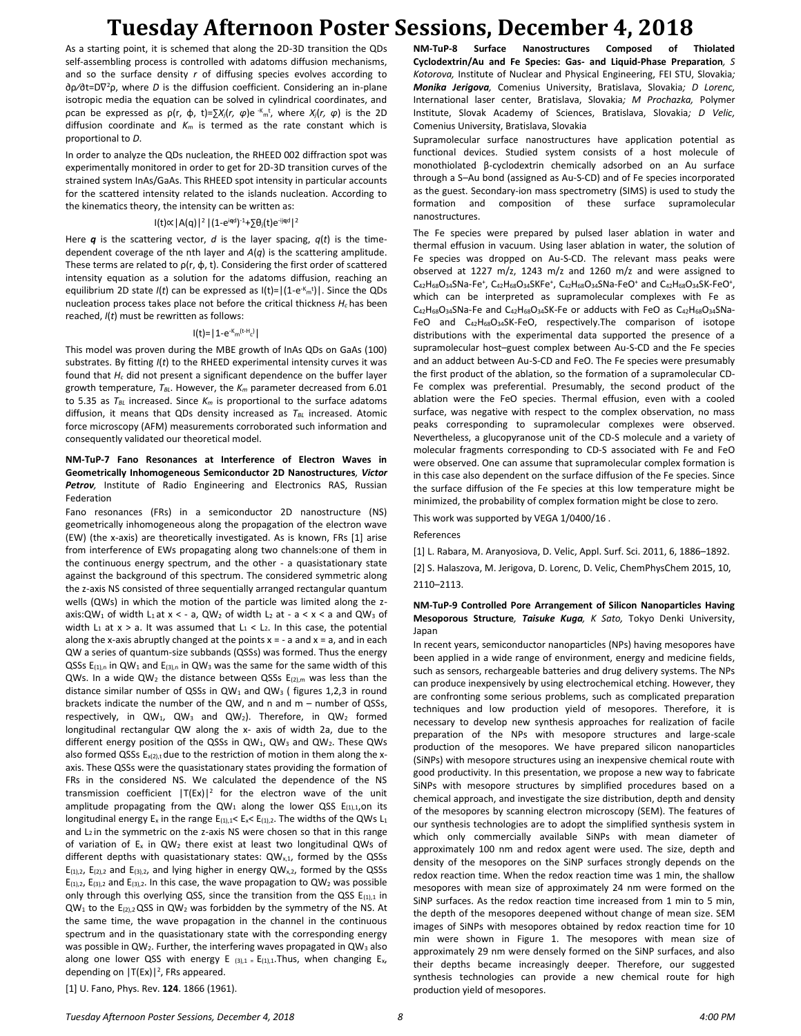As a starting point, it is schemed that along the 2D-3D transition the QDs self-assembling process is controlled with adatoms diffusion mechanisms, and so the surface density *r* of diffusing species evolves according to ∂ρ⁄∂t=D∇ <sup>2</sup>ρ, where *D* is the diffusion coefficient. Considering an in-plane isotropic media the equation can be solved in cylindrical coordinates, and ρcan be expressed as ρ(r, φ, t)=∑*Xj*(*r, φ*)e -Km t , where *Xj*(*r, φ*) is the 2D diffusion coordinate and *K<sup>m</sup>* is termed as the rate constant which is proportional to *D*.

In order to analyze the QDs nucleation, the RHEED 002 diffraction spot was experimentally monitored in order to get for 2D-3D transition curves of the strained system InAs/GaAs. This RHEED spot intensity in particular accounts for the scattered intensity related to the islands nucleation. According to the kinematics theory, the intensity can be written as:

#### I(t)∝|A(q)|<sup>2</sup>|(1-e i**q**d ) -1+∑θj(t)e-ij**q**<sup>d</sup>| 2

Here *q* is the scattering vector, *d* is the layer spacing, *q*(*t*) is the timedependent coverage of the nth layer and *A*(*q*) is the scattering amplitude. These terms are related to  $p(r, \varphi, t)$ . Considering the first order of scattered intensity equation as a solution for the adatoms diffusion, reaching an equilibrium 2D state *I*(*t*) can be expressed as I(*t*)= $|(1-e<sup>K</sup><sub>m</sub><sup>t</sup>)|$ . Since the QDs nucleation process takes place not before the critical thickness *Hc* has been reached, *I*(*t*) must be rewritten as follows:

#### l(t)=|1-e<sup>-K</sup>m<sup>(t-H</sup>c<sup>)</sup>|

This model was proven during the MBE growth of InAs QDs on GaAs (100) substrates. By fitting *I*(*t*) to the RHEED experimental intensity curves it was found that *H<sup>c</sup>* did not present a significant dependence on the buffer layer growth temperature, *TBL*. However, the *K<sup>m</sup>* parameter decreased from 6.01 to 5.35 as *TBL* increased. Since *K<sup>m</sup>* is proportional to the surface adatoms diffusion, it means that QDs density increased as *TBL* increased. Atomic force microscopy (AFM) measurements corroborated such information and consequently validated our theoretical model.

#### **NM-TuP-7 Fano Resonances at Interference of Electron Waves in Geometrically Inhomogeneous Semiconductor 2D Nanostructures***, Victor*  **Petrov**, Institute of Radio Engineering and Electronics RAS, Russian Federation

Fano resonances (FRs) in a semiconductor 2D nanostructure (NS) geometrically inhomogeneous along the propagation of the electron wave (EW) (the x-axis) are theoretically investigated. As is known, FRs [1] arise from interference of EWs propagating along two channels:one of them in the continuous energy spectrum, and the other - a quasistationary state against the background of this spectrum. The considered symmetric along the z-axis NS consisted of three sequentially arranged rectangular quantum wells (QWs) in which the motion of the particle was limited along the zaxis: QW<sub>1</sub> of width L<sub>1</sub> at x < - a, QW<sub>2</sub> of width L<sub>2</sub> at - a < x < a and QW<sub>3</sub> of width  $L_1$  at  $x > a$ . It was assumed that  $L_1 < L_2$ . In this case, the potential along the x-axis abruptly changed at the points  $x = -a$  and  $x = a$ , and in each QW a series of quantum-size subbands (QSSs) was formed. Thus the energy QSSs  $E_{(1),n}$  in QW<sub>1</sub> and  $E_{(3),n}$  in QW<sub>3</sub> was the same for the same width of this QWs. In a wide QW<sub>2</sub> the distance between QSSs  $E_{(2),m}$  was less than the distance similar number of QSSs in  $QW_1$  and  $QW_3$  (figures 1,2,3 in round brackets indicate the number of the QW, and n and m – number of QSSs, respectively, in QW<sub>1</sub>, QW<sub>3</sub> and QW<sub>2</sub>). Therefore, in QW<sub>2</sub> formed longitudinal rectangular QW along the x- axis of width 2a, due to the different energy position of the QSSs in QW<sub>1</sub>, QW<sub>3</sub> and QW<sub>2</sub>. These QWs also formed QSSs  $E_{x(2),t}$  due to the restriction of motion in them along the xaxis. These QSSs were the quasistationary states providing the formation of FRs in the considered NS. We calculated the dependence of the NS transmission coefficient  $|T(EX)|^2$  for the electron wave of the unit amplitude propagating from the  $QW_1$  along the lower QSS E(1),1,0n its longitudinal energy  $E_x$  in the range  $E_{(1),1}$ <  $E_x$ <  $E_{(1),2}$ . The widths of the QWs  $L_1$ and  $L_2$  in the symmetric on the z-axis NS were chosen so that in this range of variation of  $E_x$  in  $QW_2$  there exist at least two longitudinal QWs of different depths with quasistationary states:  $QW_{x,1}$ , formed by the QSSs  $E_{(1),2}$ ,  $E_{(2),2}$  and  $E_{(3),2}$ , and lying higher in energy QW<sub>x,2</sub>, formed by the QSSs  $E_{(1),2}$ ,  $E_{(3),2}$  and  $E_{(3),2}$ . In this case, the wave propagation to QW<sub>2</sub> was possible only through this overlying OSS, since the transition from the OSS  $E_{(1)1}$  in  $QW_1$  to the E<sub>(2),2</sub> QSS in  $QW_2$  was forbidden by the symmetry of the NS. At the same time, the wave propagation in the channel in the continuous spectrum and in the quasistationary state with the corresponding energy was possible in  $QW_2$ . Further, the interfering waves propagated in  $QW_3$  also along one lower QSS with energy E  $_{(3),1}$  = E<sub>(1),1</sub>. Thus, when changing E<sub>x</sub>, depending on  $|T(EX)|^2$ , FRs appeared.

**NM-TuP-8 Surface Nanostructures Composed of Thiolated Cyclodextrin/Au and Fe Species: Gas- and Liquid-Phase Preparation***, S Kotorova,* Institute of Nuclear and Physical Engineering, FEI STU, Slovakia*; Monika Jerigova,* Comenius University, Bratislava, Slovakia*; D Lorenc,*  International laser center, Bratislava, Slovakia*; M Prochazka,* Polymer Institute, Slovak Academy of Sciences, Bratislava, Slovakia*; D Velic,*  Comenius University, Bratislava, Slovakia

Supramolecular surface nanostructures have application potential as functional devices. Studied system consists of a host molecule of monothiolated β-cyclodextrin chemically adsorbed on an Au surface through a S–Au bond (assigned as Au-S-CD) and of Fe species incorporated as the guest. Secondary-ion mass spectrometry (SIMS) is used to study the formation and composition of these surface supramolecular nanostructures.

The Fe species were prepared by pulsed laser ablation in water and thermal effusion in vacuum. Using laser ablation in water, the solution of Fe species was dropped on Au-S-CD. The relevant mass peaks were observed at 1227 m/z, 1243 m/z and 1260 m/z and were assigned to  $C_{42}H_{68}O_{34}SNa-Fe^+$ ,  $C_{42}H_{68}O_{34}SKFe^+$ ,  $C_{42}H_{68}O_{34}SNa-FeO^+$  and  $C_{42}H_{68}O_{34}SK-FeO^+$ , which can be interpreted as supramolecular complexes with Fe as  $C_{42}H_{68}O_{34}S$ Na-Fe and  $C_{42}H_{68}O_{34}SK$ -Fe or adducts with FeO as  $C_{42}H_{68}O_{34}SNa$ -FeO and  $C_{42}H_{68}O_{34}SK-FeO$ , respectively. The comparison of isotope distributions with the experimental data supported the presence of a supramolecular host–guest complex between Au-S-CD and the Fe species and an adduct between Au-S-CD and FeO. The Fe species were presumably the first product of the ablation, so the formation of a supramolecular CD-Fe complex was preferential. Presumably, the second product of the ablation were the FeO species. Thermal effusion, even with a cooled surface, was negative with respect to the complex observation, no mass peaks corresponding to supramolecular complexes were observed. Nevertheless, a glucopyranose unit of the CD-S molecule and a variety of molecular fragments corresponding to CD-S associated with Fe and FeO were observed. One can assume that supramolecular complex formation is in this case also dependent on the surface diffusion of the Fe species. Since the surface diffusion of the Fe species at this low temperature might be minimized, the probability of complex formation might be close to zero.

#### This work was supported by VEGA 1/0400/16 .

References

[1] L. Rabara, M. Aranyosiova, D. Velic, Appl. Surf. Sci. 2011, 6, 1886–1892.

[2] S. Halaszova, M. Jerigova, D. Lorenc, D. Velic, ChemPhysChem 2015, 10, 2110–2113.

#### **NM-TuP-9 Controlled Pore Arrangement of Silicon Nanoparticles Having Mesoporous Structure***, Taisuke Kuga, K Sato,* Tokyo Denki University, Japan

In recent years, semiconductor nanoparticles (NPs) having mesopores have been applied in a wide range of environment, energy and medicine fields, such as sensors, rechargeable batteries and drug delivery systems. The NPs can produce inexpensively by using electrochemical etching. However, they are confronting some serious problems, such as complicated preparation techniques and low production yield of mesopores. Therefore, it is necessary to develop new synthesis approaches for realization of facile preparation of the NPs with mesopore structures and large-scale production of the mesopores. We have prepared silicon nanoparticles (SiNPs) with mesopore structures using an inexpensive chemical route with good productivity. In this presentation, we propose a new way to fabricate SiNPs with mesopore structures by simplified procedures based on a chemical approach, and investigate the size distribution, depth and density of the mesopores by scanning electron microscopy (SEM). The features of our synthesis technologies are to adopt the simplified synthesis system in which only commercially available SiNPs with mean diameter of approximately 100 nm and redox agent were used. The size, depth and density of the mesopores on the SiNP surfaces strongly depends on the redox reaction time. When the redox reaction time was 1 min, the shallow mesopores with mean size of approximately 24 nm were formed on the SiNP surfaces. As the redox reaction time increased from 1 min to 5 min, the depth of the mesopores deepened without change of mean size. SEM images of SiNPs with mesopores obtained by redox reaction time for 10 min were shown in Figure 1. The mesopores with mean size of approximately 29 nm were densely formed on the SiNP surfaces, and also their depths became increasingly deeper. Therefore, our suggested synthesis technologies can provide a new chemical route for high production yield of mesopores.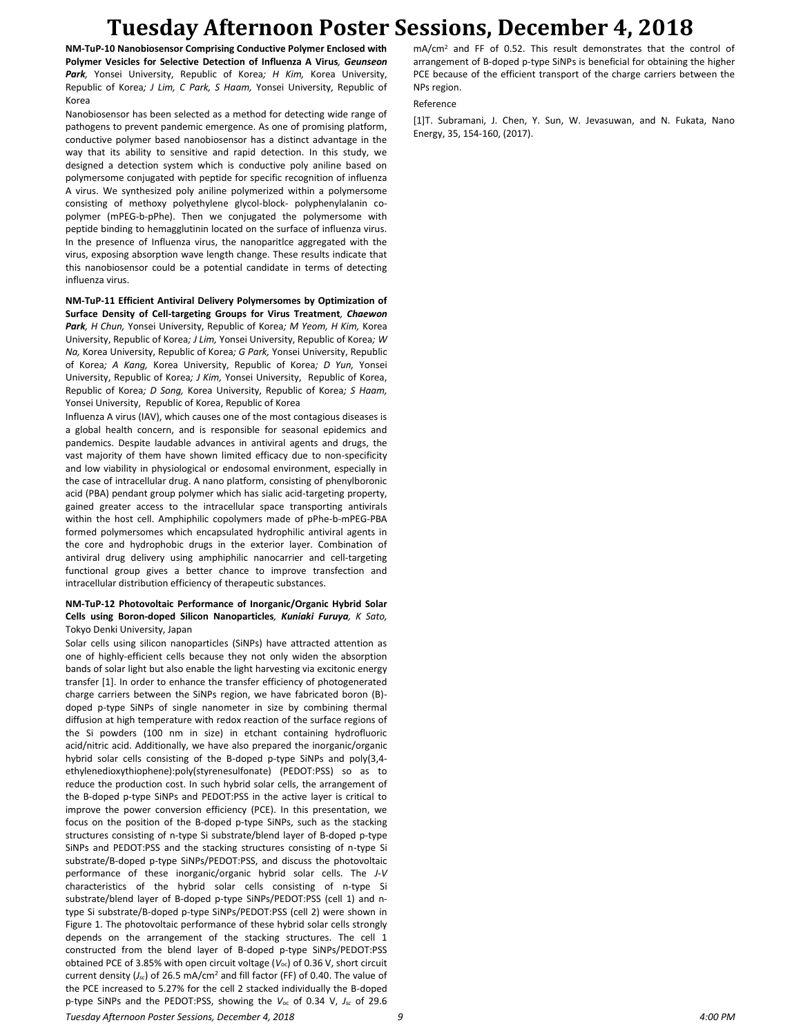**NM-TuP-10 Nanobiosensor Comprising Conductive Polymer Enclosed with Polymer Vesicles for Selective Detection of Influenza A Virus***, Geunseon Park,* Yonsei University, Republic of Korea*; H Kim,* Korea University, Republic of Korea*; J Lim, C Park, S Haam,* Yonsei University, Republic of Korea

Nanobiosensor has been selected as a method for detecting wide range of pathogens to prevent pandemic emergence. As one of promising platform, conductive polymer based nanobiosensor has a distinct advantage in the way that its ability to sensitive and rapid detection. In this study, we designed a detection system which is conductive poly aniline based on polymersome conjugated with peptide for specific recognition of influenza A virus. We synthesized poly aniline polymerized within a polymersome consisting of methoxy polyethylene glycol-block- polyphenylalanin copolymer (mPEG-b-pPhe). Then we conjugated the polymersome with peptide binding to hemagglutinin located on the surface of influenza virus. In the presence of Influenza virus, the nanoparitlce aggregated with the virus, exposing absorption wave length change. These results indicate that this nanobiosensor could be a potential candidate in terms of detecting influenza virus.

**NM-TuP-11 Efficient Antiviral Delivery Polymersomes by Optimization of Surface Density of Cell-targeting Groups for Virus Treatment***, Chaewon Park, H Chun,* Yonsei University, Republic of Korea*; M Yeom, H Kim,* Korea University, Republic of Korea*; J Lim,* Yonsei University, Republic of Korea*; W Na,* Korea University, Republic of Korea*; G Park,* Yonsei University, Republic of Korea*; A Kang,* Korea University, Republic of Korea*; D Yun,* Yonsei University, Republic of Korea*; J Kim,* Yonsei University, Republic of Korea, Republic of Korea*; D Song,* Korea University, Republic of Korea*; S Haam,*  Yonsei University, Republic of Korea, Republic of Korea

Influenza A virus (IAV), which causes one of the most contagious diseases is a global health concern, and is responsible for seasonal epidemics and pandemics. Despite laudable advances in antiviral agents and drugs, the vast majority of them have shown limited efficacy due to non-specificity and low viability in physiological or endosomal environment, especially in the case of intracellular drug. A nano platform, consisting of phenylboronic acid (PBA) pendant group polymer which has sialic acid-targeting property, gained greater access to the intracellular space transporting antivirals within the host cell. Amphiphilic copolymers made of pPhe-b-mPEG-PBA formed polymersomes which encapsulated hydrophilic antiviral agents in the core and hydrophobic drugs in the exterior layer. Combination of antiviral drug delivery using amphiphilic nanocarrier and cell-targeting functional group gives a better chance to improve transfection and intracellular distribution efficiency of therapeutic substances.

#### **NM-TuP-12 Photovoltaic Performance of Inorganic/Organic Hybrid Solar Cells using Boron-doped Silicon Nanoparticles***, Kuniaki Furuya, K Sato,*  Tokyo Denki University, Japan

Solar cells using silicon nanoparticles (SiNPs) have attracted attention as one of highly-efficient cells because they not only widen the absorption bands of solar light but also enable the light harvesting via excitonic energy transfer [1]. In order to enhance the transfer efficiency of photogenerated charge carriers between the SiNPs region, we have fabricated boron (B) doped p-type SiNPs of single nanometer in size by combining thermal diffusion at high temperature with redox reaction of the surface regions of the Si powders (100 nm in size) in etchant containing hydrofluoric acid/nitric acid. Additionally, we have also prepared the inorganic/organic hybrid solar cells consisting of the B-doped p-type SiNPs and poly(3,4 ethylenedioxythiophene):poly(styrenesulfonate) (PEDOT:PSS) so as to reduce the production cost. In such hybrid solar cells, the arrangement of the B-doped p-type SiNPs and PEDOT:PSS in the active layer is critical to improve the power conversion efficiency (PCE). In this presentation, we focus on the position of the B-doped p-type SiNPs, such as the stacking structures consisting of n-type Si substrate/blend layer of B-doped p-type SiNPs and PEDOT:PSS and the stacking structures consisting of n-type Si substrate/B-doped p-type SiNPs/PEDOT:PSS, and discuss the photovoltaic performance of these inorganic/organic hybrid solar cells. The *J-V* characteristics of the hybrid solar cells consisting of n-type Si substrate/blend layer of B-doped p-type SiNPs/PEDOT:PSS (cell 1) and ntype Si substrate/B-doped p-type SiNPs/PEDOT:PSS (cell 2) were shown in Figure 1. The photovoltaic performance of these hybrid solar cells strongly depends on the arrangement of the stacking structures. The cell 1 constructed from the blend layer of B-doped p-type SiNPs/PEDOT:PSS obtained PCE of 3.85% with open circuit voltage (*V*oc) of 0.36 V, short circuit current density (*Jsc*) of 26.5 mA/cm<sup>2</sup> and fill factor (FF) of 0.40. The value of the PCE increased to 5.27% for the cell 2 stacked individually the B-doped p-type SiNPs and the PEDOT:PSS, showing the *V*oc of 0.34 V, *Jsc* of 29.6 mA/cm<sup>2</sup> and FF of 0.52. This result demonstrates that the control of arrangement of B-doped p-type SiNPs is beneficial for obtaining the higher PCE because of the efficient transport of the charge carriers between the NPs region.

#### Reference

[1]T. Subramani, J. Chen, Y. Sun, W. Jevasuwan, and N. Fukata, Nano Energy, 35, 154-160, (2017).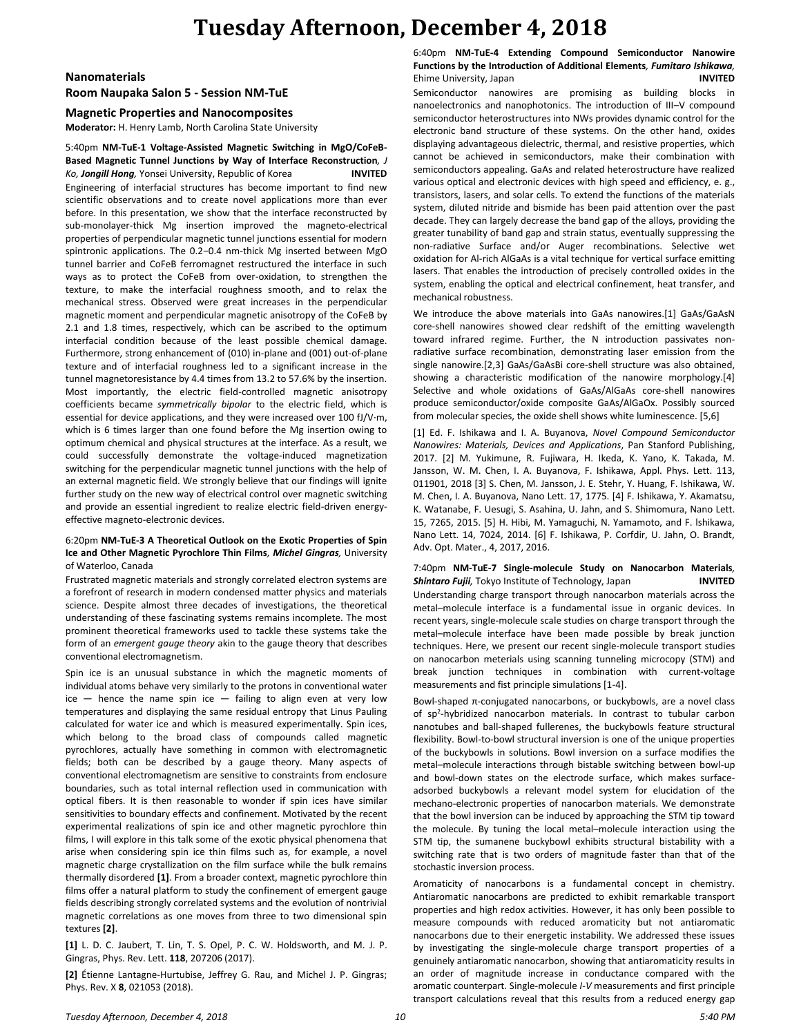### **Tuesday Afternoon, December 4, 2018**

#### **Nanomaterials**

#### **Room Naupaka Salon 5 - Session NM-TuE**

#### **Magnetic Properties and Nanocomposites**

**Moderator:** H. Henry Lamb, North Carolina State University

5:40pm **NM-TuE-1 Voltage-Assisted Magnetic Switching in MgO/CoFeB-Based Magnetic Tunnel Junctions by Way of Interface Reconstruction***, J Ko, Jongill Hong,* Yonsei University, Republic of Korea **INVITED** Engineering of interfacial structures has become important to find new scientific observations and to create novel applications more than ever before. In this presentation, we show that the interface reconstructed by sub-monolayer-thick Mg insertion improved the magneto-electrical properties of perpendicular magnetic tunnel junctions essential for modern spintronic applications. The 0.2−0.4 nm-thick Mg inserted between MgO tunnel barrier and CoFeB ferromagnet restructured the interface in such ways as to protect the CoFeB from over-oxidation, to strengthen the texture, to make the interfacial roughness smooth, and to relax the mechanical stress. Observed were great increases in the perpendicular magnetic moment and perpendicular magnetic anisotropy of the CoFeB by 2.1 and 1.8 times, respectively, which can be ascribed to the optimum interfacial condition because of the least possible chemical damage. Furthermore, strong enhancement of (010) in-plane and (001) out-of-plane texture and of interfacial roughness led to a significant increase in the tunnel magnetoresistance by 4.4 times from 13.2 to 57.6% by the insertion. Most importantly, the electric field-controlled magnetic anisotropy coefficients became *symmetrically bipolar* to the electric field, which is essential for device applications, and they were increased over 100 fJ/V·m, which is 6 times larger than one found before the Mg insertion owing to optimum chemical and physical structures at the interface. As a result, we could successfully demonstrate the voltage-induced magnetization switching for the perpendicular magnetic tunnel junctions with the help of an external magnetic field. We strongly believe that our findings will ignite further study on the new way of electrical control over magnetic switching and provide an essential ingredient to realize electric field-driven energyeffective magneto-electronic devices.

#### 6:20pm **NM-TuE-3 A Theoretical Outlook on the Exotic Properties of Spin Ice and Other Magnetic Pyrochlore Thin Films***, Michel Gingras,* University of Waterloo, Canada

Frustrated magnetic materials and strongly correlated electron systems are a forefront of research in modern condensed matter physics and materials science. Despite almost three decades of investigations, the theoretical understanding of these fascinating systems remains incomplete. The most prominent theoretical frameworks used to tackle these systems take the form of an *emergent gauge theory* akin to the gauge theory that describes conventional electromagnetism.

Spin ice is an unusual substance in which the magnetic moments of individual atoms behave very similarly to the protons in conventional water  $ice$  – hence the name spin ice – failing to align even at very low temperatures and displaying the same residual entropy that Linus Pauling calculated for water ice and which is measured experimentally. Spin ices, which belong to the broad class of compounds called magnetic pyrochlores, actually have something in common with electromagnetic fields; both can be described by a gauge theory. Many aspects of conventional electromagnetism are sensitive to constraints from enclosure boundaries, such as total internal reflection used in communication with optical fibers. It is then reasonable to wonder if spin ices have similar sensitivities to boundary effects and confinement. Motivated by the recent experimental realizations of spin ice and other magnetic pyrochlore thin films, I will explore in this talk some of the exotic physical phenomena that arise when considering spin ice thin films such as, for example, a novel magnetic charge crystallization on the film surface while the bulk remains thermally disordered **[1]**. From a broader context, magnetic pyrochlore thin films offer a natural platform to study the confinement of emergent gauge fields describing strongly correlated systems and the evolution of nontrivial magnetic correlations as one moves from three to two dimensional spin textures **[2]**.

**[1]** L. D. C. Jaubert, T. Lin, T. S. Opel, P. C. W. Holdsworth, and M. J. P. Gingras, Phys. Rev. Lett. **118**, 207206 (2017).

**[2]** Étienne Lantagne-Hurtubise, Jeffrey G. Rau, and Michel J. P. Gingras; Phys. Rev. X **8**, 021053 (2018).

6:40pm **NM-TuE-4 Extending Compound Semiconductor Nanowire Functions by the Introduction of Additional Elements***, Fumitaro Ishikawa,*  Ehime University, Japan **INVITED**

Semiconductor nanowires are promising as building blocks in nanoelectronics and nanophotonics. The introduction of III–V compound semiconductor heterostructures into NWs provides dynamic control for the electronic band structure of these systems. On the other hand, oxides displaying advantageous dielectric, thermal, and resistive properties, which cannot be achieved in semiconductors, make their combination with semiconductors appealing. GaAs and related heterostructure have realized various optical and electronic devices with high speed and efficiency, e. g., transistors, lasers, and solar cells. To extend the functions of the materials system, diluted nitride and bismide has been paid attention over the past decade. They can largely decrease the band gap of the alloys, providing the greater tunability of band gap and strain status, eventually suppressing the non-radiative Surface and/or Auger recombinations. Selective wet oxidation for Al-rich AlGaAs is a vital technique for vertical surface emitting lasers. That enables the introduction of precisely controlled oxides in the system, enabling the optical and electrical confinement, heat transfer, and mechanical robustness.

We introduce the above materials into GaAs nanowires.[1] GaAs/GaAsN core-shell nanowires showed clear redshift of the emitting wavelength toward infrared regime. Further, the N introduction passivates nonradiative surface recombination, demonstrating laser emission from the single nanowire.[2,3] GaAs/GaAsBi core-shell structure was also obtained, showing a characteristic modification of the nanowire morphology.[4] Selective and whole oxidations of GaAs/AlGaAs core-shell nanowires produce semiconductor/oxide composite GaAs/AlGaOx. Possibly sourced from molecular species, the oxide shell shows white luminescence. [5,6]

[1] Ed. F. Ishikawa and I. A. Buyanova, *Novel Compound Semiconductor Nanowires: Materials, Devices and Applications*, Pan Stanford Publishing, 2017. [2] M. Yukimune, R. Fujiwara, H. Ikeda, K. Yano, K. Takada, M. Jansson, W. M. Chen, I. A. Buyanova, F. Ishikawa, Appl. Phys. Lett. 113, 011901, 2018 [3] S. Chen, M. Jansson, J. E. Stehr, Y. Huang, F. Ishikawa, W. M. Chen, I. A. Buyanova, Nano Lett. 17, 1775. [4] F. Ishikawa, Y. Akamatsu, K. Watanabe, F. Uesugi, S. Asahina, U. Jahn, and S. Shimomura, Nano Lett. 15, 7265, 2015. [5] H. Hibi, M. Yamaguchi, N. Yamamoto, and F. lshikawa, Nano Lett. 14, 7024, 2014. [6] F. Ishikawa, P. Corfdir, U. Jahn, O. Brandt, Adv. Opt. Mater., 4, 2017, 2016.

7:40pm **NM-TuE-7 Single-molecule Study on Nanocarbon Materials***, Shintaro Fujii,* Tokyo Institute of Technology, Japan **INVITED** Understanding charge transport through nanocarbon materials across the metal–molecule interface is a fundamental issue in organic devices. In recent years, single-molecule scale studies on charge transport through the metal–molecule interface have been made possible by break junction techniques. Here, we present our recent single-molecule transport studies on nanocarbon meterials using scanning tunneling microcopy (STM) and break junction techniques in combination with current-voltage measurements and fist principle simulations [1-4].

Bowl-shaped π-conjugated nanocarbons, or buckybowls, are a novel class of sp<sup>2</sup>-hybridized nanocarbon materials. In contrast to tubular carbon nanotubes and ball-shaped fullerenes, the buckybowls feature structural flexibility. Bowl-to-bowl structural inversion is one of the unique properties of the buckybowls in solutions. Bowl inversion on a surface modifies the metal–molecule interactions through bistable switching between bowl-up and bowl-down states on the electrode surface, which makes surfaceadsorbed buckybowls a relevant model system for elucidation of the mechano-electronic properties of nanocarbon materials. We demonstrate that the bowl inversion can be induced by approaching the STM tip toward the molecule. By tuning the local metal–molecule interaction using the STM tip, the sumanene buckybowl exhibits structural bistability with a switching rate that is two orders of magnitude faster than that of the stochastic inversion process.

Aromaticity of nanocarbons is a fundamental concept in chemistry. Antiaromatic nanocarbons are predicted to exhibit remarkable transport properties and high redox activities. However, it has only been possible to measure compounds with reduced aromaticity but not antiaromatic nanocarbons due to their energetic instability. We addressed these issues by investigating the single-molecule charge transport properties of a genuinely antiaromatic nanocarbon, showing that antiaromaticity results in an order of magnitude increase in conductance compared with the aromatic counterpart. Single-molecule *I*-*V* measurements and first principle transport calculations reveal that this results from a reduced energy gap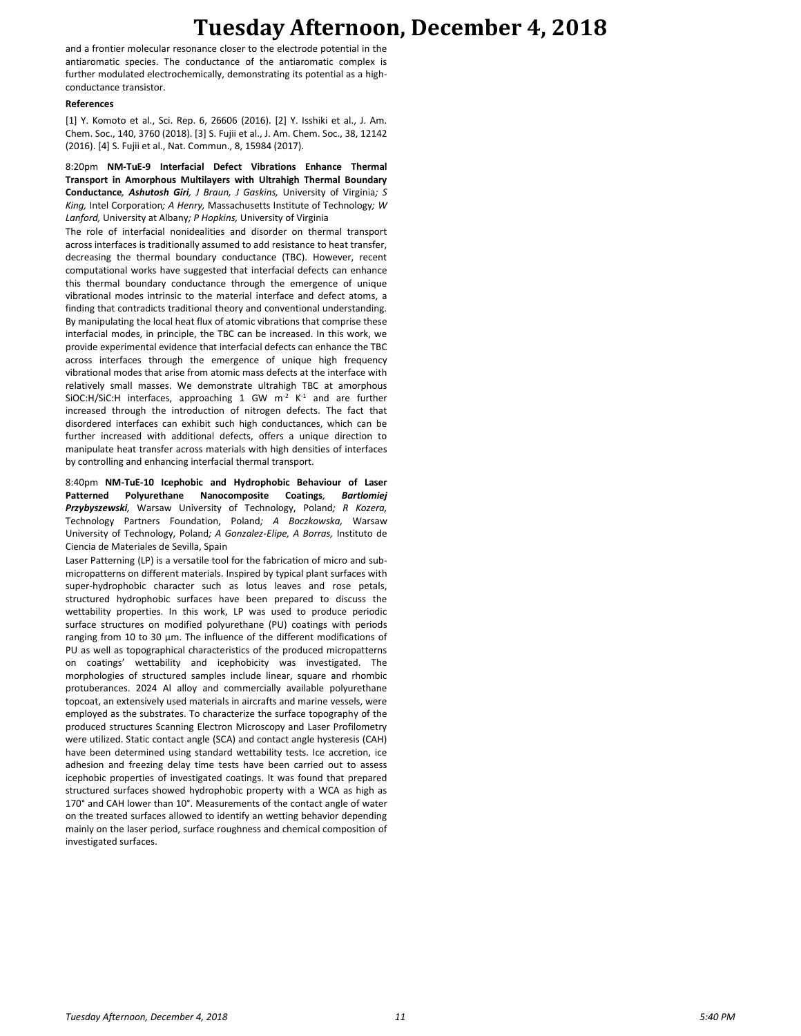### **Tuesday Afternoon, December 4, 2018**

and a frontier molecular resonance closer to the electrode potential in the antiaromatic species. The conductance of the antiaromatic complex is further modulated electrochemically, demonstrating its potential as a highconductance transistor.

#### **References**

[1] Y. Komoto et al., Sci. Rep. 6, 26606 (2016). [2] Y. Isshiki et al., J. Am. Chem. Soc., 140, 3760 (2018). [3] S. Fujii et al., J. Am. Chem. Soc., 38, 12142 (2016). [4] S. Fujii et al., Nat. Commun., 8, 15984 (2017).

8:20pm **NM-TuE-9 Interfacial Defect Vibrations Enhance Thermal Transport in Amorphous Multilayers with Ultrahigh Thermal Boundary Conductance***, Ashutosh Giri, J Braun, J Gaskins,* University of Virginia*; S King,* Intel Corporation*; A Henry,* Massachusetts Institute of Technology*; W Lanford,* University at Albany*; P Hopkins,* University of Virginia

The role of interfacial nonidealities and disorder on thermal transport across interfaces is traditionally assumed to add resistance to heat transfer, decreasing the thermal boundary conductance (TBC). However, recent computational works have suggested that interfacial defects can enhance this thermal boundary conductance through the emergence of unique vibrational modes intrinsic to the material interface and defect atoms, a finding that contradicts traditional theory and conventional understanding. By manipulating the local heat flux of atomic vibrations that comprise these interfacial modes, in principle, the TBC can be increased. In this work, we provide experimental evidence that interfacial defects can enhance the TBC across interfaces through the emergence of unique high frequency vibrational modes that arise from atomic mass defects at the interface with relatively small masses. We demonstrate ultrahigh TBC at amorphous SiOC:H/SiC:H interfaces, approaching 1 GW  $m<sup>-2</sup> K<sup>-1</sup>$  and are further increased through the introduction of nitrogen defects. The fact that disordered interfaces can exhibit such high conductances, which can be further increased with additional defects, offers a unique direction to manipulate heat transfer across materials with high densities of interfaces by controlling and enhancing interfacial thermal transport.

8:40pm **NM-TuE-10 Icephobic and Hydrophobic Behaviour of Laser Patterned Polyurethane Nanocomposite Coatings***, Bartlomiej Przybyszewski,* Warsaw University of Technology, Poland*; R Kozera,*  Technology Partners Foundation, Poland*; A Boczkowska,* Warsaw University of Technology, Poland*; A Gonzalez-Elipe, A Borras,* Instituto de Ciencia de Materiales de Sevilla, Spain

Laser Patterning (LP) is a versatile tool for the fabrication of micro and submicropatterns on different materials. Inspired by typical plant surfaces with super-hydrophobic character such as lotus leaves and rose petals, structured hydrophobic surfaces have been prepared to discuss the wettability properties. In this work, LP was used to produce periodic surface structures on modified polyurethane (PU) coatings with periods ranging from 10 to 30 μm. The influence of the different modifications of PU as well as topographical characteristics of the produced micropatterns on coatings' wettability and icephobicity was investigated. The morphologies of structured samples include linear, square and rhombic protuberances. 2024 Al alloy and commercially available polyurethane topcoat, an extensively used materials in aircrafts and marine vessels, were employed as the substrates. To characterize the surface topography of the produced structures Scanning Electron Microscopy and Laser Profilometry were utilized. Static contact angle (SCA) and contact angle hysteresis (CAH) have been determined using standard wettability tests. Ice accretion, ice adhesion and freezing delay time tests have been carried out to assess icephobic properties of investigated coatings. It was found that prepared structured surfaces showed hydrophobic property with a WCA as high as 170° and CAH lower than 10°. Measurements of the contact angle of water on the treated surfaces allowed to identify an wetting behavior depending mainly on the laser period, surface roughness and chemical composition of investigated surfaces.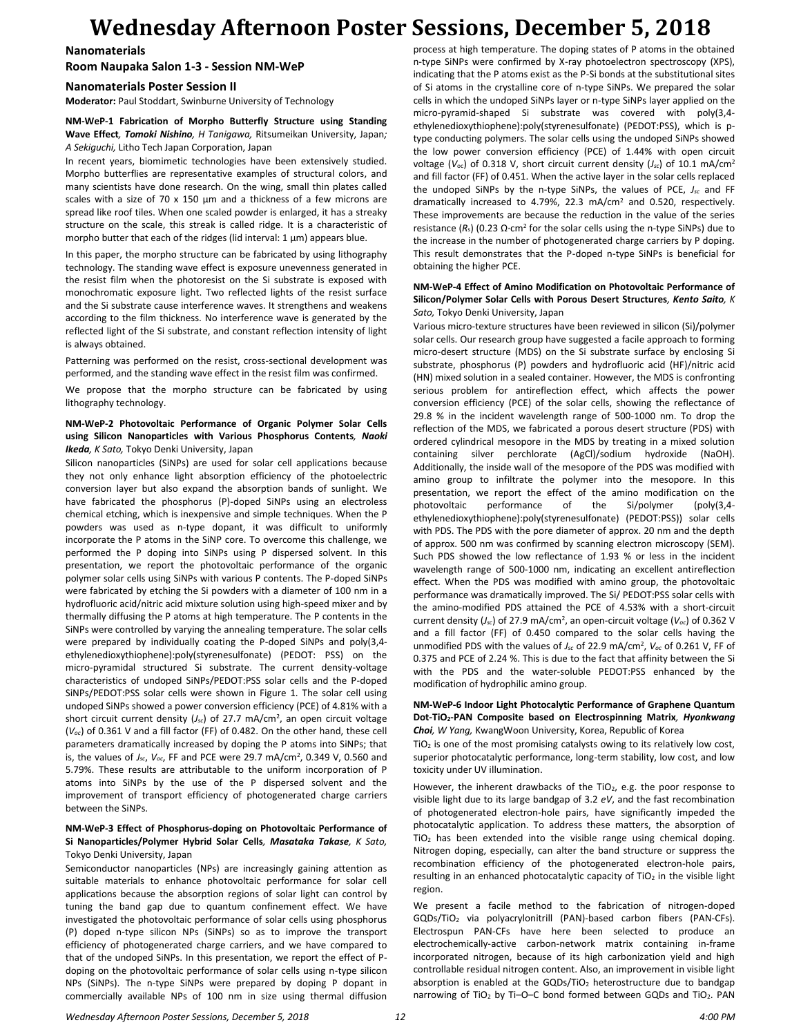**Nanomaterials**

**Room Naupaka Salon 1-3 - Session NM-WeP**

#### **Nanomaterials Poster Session II**

**Moderator:** Paul Stoddart, Swinburne University of Technology

#### **NM-WeP-1 Fabrication of Morpho Butterfly Structure using Standing Wave Effect***, Tomoki Nishino, H Tanigawa,* Ritsumeikan University, Japan*; A Sekiguchi,* Litho Tech Japan Corporation, Japan

In recent years, biomimetic technologies have been extensively studied. Morpho butterflies are representative examples of structural colors, and many scientists have done research. On the wing, small thin plates called scales with a size of 70 x 150 μm and a thickness of a few microns are spread like roof tiles. When one scaled powder is enlarged, it has a streaky structure on the scale, this streak is called ridge. It is a characteristic of morpho butter that each of the ridges (lid interval: 1 μm) appears blue.

In this paper, the morpho structure can be fabricated by using lithography technology. The standing wave effect is exposure unevenness generated in the resist film when the photoresist on the Si substrate is exposed with monochromatic exposure light. Two reflected lights of the resist surface and the Si substrate cause interference waves. It strengthens and weakens according to the film thickness. No interference wave is generated by the reflected light of the Si substrate, and constant reflection intensity of light is always obtained.

Patterning was performed on the resist, cross-sectional development was performed, and the standing wave effect in the resist film was confirmed.

We propose that the morpho structure can be fabricated by using lithography technology.

#### **NM-WeP-2 Photovoltaic Performance of Organic Polymer Solar Cells using Silicon Nanoparticles with Various Phosphorus Contents***, Naoki Ikeda, K Sato,* Tokyo Denki University, Japan

Silicon nanoparticles (SiNPs) are used for solar cell applications because they not only enhance light absorption efficiency of the photoelectric conversion layer but also expand the absorption bands of sunlight. We have fabricated the phosphorus (P)-doped SiNPs using an electroless chemical etching, which is inexpensive and simple techniques. When the P powders was used as n-type dopant, it was difficult to uniformly incorporate the P atoms in the SiNP core. To overcome this challenge, we performed the P doping into SiNPs using P dispersed solvent. In this presentation, we report the photovoltaic performance of the organic polymer solar cells using SiNPs with various P contents. The P-doped SiNPs were fabricated by etching the Si powders with a diameter of 100 nm in a hydrofluoric acid/nitric acid mixture solution using high-speed mixer and by thermally diffusing the P atoms at high temperature. The P contents in the SiNPs were controlled by varying the annealing temperature. The solar cells were prepared by individually coating the P-doped SiNPs and poly(3,4 ethylenedioxythiophene):poly(styrenesulfonate) (PEDOT: PSS) on the micro-pyramidal structured Si substrate. The current density-voltage characteristics of undoped SiNPs/PEDOT:PSS solar cells and the P-doped SiNPs/PEDOT:PSS solar cells were shown in Figure 1. The solar cell using undoped SiNPs showed a power conversion efficiency (PCE) of 4.81% with a short circuit current density (*Jsc*) of 27.7 mA/cm<sup>2</sup> , an open circuit voltage (*Voc*) of 0.361 V and a fill factor (FF) of 0.482. On the other hand, these cell parameters dramatically increased by doping the P atoms into SiNPs; that is, the values of *Jsc*, *Voc*, FF and PCE were 29.7 mA/cm<sup>2</sup> , 0.349 V, 0.560 and 5.79%. These results are attributable to the uniform incorporation of P atoms into SiNPs by the use of the P dispersed solvent and the improvement of transport efficiency of photogenerated charge carriers between the SiNPs.

#### **NM-WeP-3 Effect of Phosphorus-doping on Photovoltaic Performance of Si Nanoparticles/Polymer Hybrid Solar Cells***, Masataka Takase, K Sato,*  Tokyo Denki University, Japan

Semiconductor nanoparticles (NPs) are increasingly gaining attention as suitable materials to enhance photovoltaic performance for solar cell applications because the absorption regions of solar light can control by tuning the band gap due to quantum confinement effect. We have investigated the photovoltaic performance of solar cells using phosphorus (P) doped n-type silicon NPs (SiNPs) so as to improve the transport efficiency of photogenerated charge carriers, and we have compared to that of the undoped SiNPs. In this presentation, we report the effect of Pdoping on the photovoltaic performance of solar cells using n-type silicon NPs (SiNPs). The n-type SiNPs were prepared by doping P dopant in commercially available NPs of 100 nm in size using thermal diffusion process at high temperature. The doping states of P atoms in the obtained n-type SiNPs were confirmed by X-ray photoelectron spectroscopy (XPS), indicating that the P atoms exist as the P-Si bonds at the substitutional sites of Si atoms in the crystalline core of n-type SiNPs. We prepared the solar cells in which the undoped SiNPs layer or n-type SiNPs layer applied on the micro-pyramid-shaped Si substrate was covered with poly(3,4 ethylenedioxythiophene):poly(styrenesulfonate) (PEDOT:PSS), which is ptype conducting polymers. The solar cells using the undoped SiNPs showed the low power conversion efficiency (PCE) of 1.44% with open circuit voltage (*V*oc) of 0.318 V, short circuit current density (*Jsc*) of 10.1 mA/cm<sup>2</sup> and fill factor (FF) of 0.451. When the active layer in the solar cells replaced the undoped SiNPs by the n-type SiNPs, the values of PCE, *Jsc* and FF dramatically increased to 4.79%, 22.3 mA/cm<sup>2</sup> and 0.520, respectively. These improvements are because the reduction in the value of the series resistance  $(R_s)$  (0.23  $\Omega$ ·cm<sup>2</sup> for the solar cells using the n-type SiNPs) due to the increase in the number of photogenerated charge carriers by P doping. This result demonstrates that the P-doped n-type SiNPs is beneficial for obtaining the higher PCE.

#### **NM-WeP-4 Effect of Amino Modification on Photovoltaic Performance of Silicon/Polymer Solar Cells with Porous Desert Structures***, Kento Saito, K Sato,* Tokyo Denki University, Japan

Various micro-texture structures have been reviewed in silicon (Si)/polymer solar cells. Our research group have suggested a facile approach to forming micro-desert structure (MDS) on the Si substrate surface by enclosing Si substrate, phosphorus (P) powders and hydrofluoric acid (HF)/nitric acid (HN) mixed solution in a sealed container. However, the MDS is confronting serious problem for antireflection effect, which affects the power conversion efficiency (PCE) of the solar cells, showing the reflectance of 29.8 % in the incident wavelength range of 500-1000 nm. To drop the reflection of the MDS, we fabricated a porous desert structure (PDS) with ordered cylindrical mesopore in the MDS by treating in a mixed solution containing silver perchlorate (AgCl)/sodium hydroxide (NaOH). Additionally, the inside wall of the mesopore of the PDS was modified with amino group to infiltrate the polymer into the mesopore. In this presentation, we report the effect of the amino modification on the photovoltaic performance of the Si/polymer (poly(3,4 ethylenedioxythiophene):poly(styrenesulfonate) (PEDOT:PSS)) solar cells with PDS. The PDS with the pore diameter of approx. 20 nm and the depth of approx. 500 nm was confirmed by scanning electron microscopy (SEM). Such PDS showed the low reflectance of 1.93 % or less in the incident wavelength range of 500-1000 nm, indicating an excellent antireflection effect. When the PDS was modified with amino group, the photovoltaic performance was dramatically improved. The Si/ PEDOT:PSS solar cells with the amino-modified PDS attained the PCE of 4.53% with a short-circuit current density (*Jsc*) of 27.9 mA/cm<sup>2</sup> , an open-circuit voltage (*Voc*) of 0.362 V and a fill factor (FF) of 0.450 compared to the solar cells having the unmodified PDS with the values of *Jsc* of 22.9 mA/cm<sup>2</sup> , *Voc* of 0.261 V, FF of 0.375 and PCE of 2.24 %. This is due to the fact that affinity between the Si with the PDS and the water-soluble PEDOT:PSS enhanced by the modification of hydrophilic amino group.

#### **NM-WeP-6 Indoor Light Photocalytic Performance of Graphene Quantum Dot-TiO2-PAN Composite based on Electrospinning Matrix***, Hyonkwang Choi, W Yang,* KwangWoon University, Korea, Republic of Korea

 $TiO<sub>2</sub>$  is one of the most promising catalysts owing to its relatively low cost, superior photocatalytic performance, long-term stability, low cost, and low toxicity under UV illumination.

However, the inherent drawbacks of the TiO<sub>2</sub>, e.g. the poor response to visible light due to its large bandgap of 3.2 *eV*, and the fast recombination of photogenerated electron-hole pairs, have significantly impeded the photocatalytic application. To address these matters, the absorption of TiO<sup>2</sup> has been extended into the visible range using chemical doping. Nitrogen doping, especially, can alter the band structure or suppress the recombination efficiency of the photogenerated electron-hole pairs, resulting in an enhanced photocatalytic capacity of TiO<sub>2</sub> in the visible light region.

We present a facile method to the fabrication of nitrogen-doped GQDs/TiO<sup>2</sup> via polyacrylonitrill (PAN)-based carbon fibers (PAN-CFs). Electrospun PAN-CFs have here been selected to produce an electrochemically-active carbon-network matrix containing in-frame incorporated nitrogen, because of its high carbonization yield and high controllable residual nitrogen content. Also, an improvement in visible light absorption is enabled at the GQDs/TiO<sub>2</sub> heterostructure due to bandgap narrowing of TiO<sub>2</sub> by Ti-O-C bond formed between GQDs and TiO<sub>2</sub>. PAN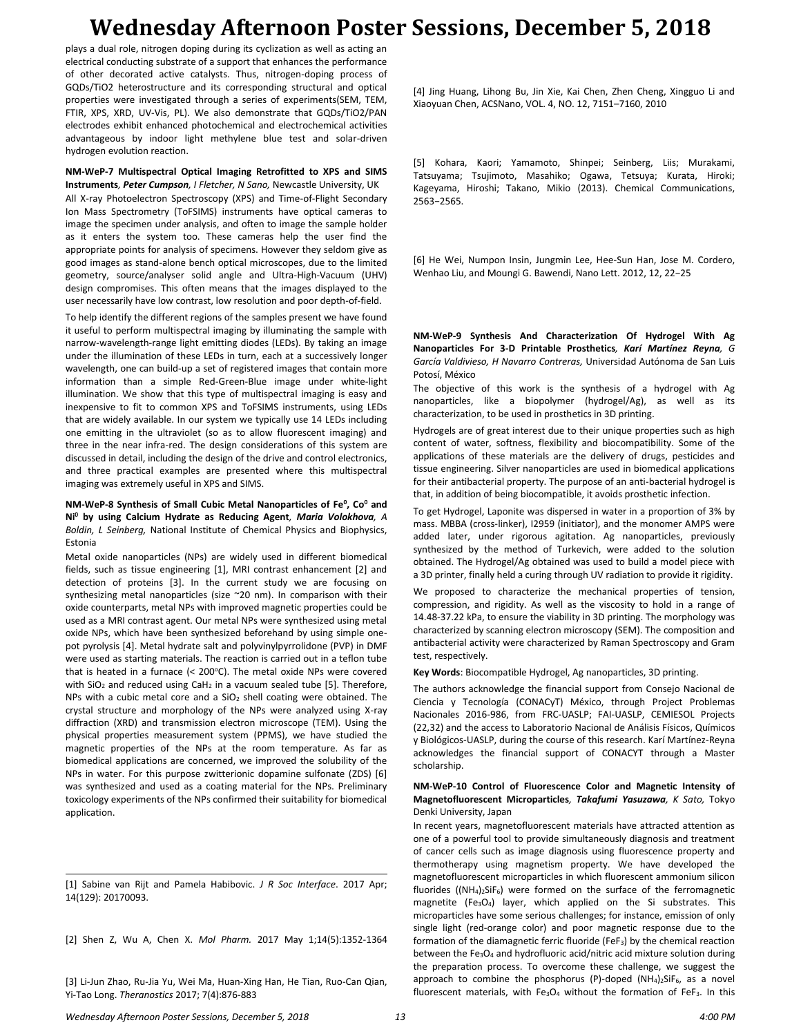plays a dual role, nitrogen doping during its cyclization as well as acting an electrical conducting substrate of a support that enhances the performance of other decorated active catalysts. Thus, nitrogen-doping process of GQDs/TiO2 heterostructure and its corresponding structural and optical properties were investigated through a series of experiments(SEM, TEM, FTIR, XPS, XRD, UV-Vis, PL). We also demonstrate that GQDs/TiO2/PAN electrodes exhibit enhanced photochemical and electrochemical activities advantageous by indoor light methylene blue test and solar-driven hydrogen evolution reaction.

**NM-WeP-7 Multispectral Optical Imaging Retrofitted to XPS and SIMS Instruments***, Peter Cumpson, I Fletcher, N Sano,* Newcastle University, UK All X-ray Photoelectron Spectroscopy (XPS) and Time-of-Flight Secondary Ion Mass Spectrometry (ToFSIMS) instruments have optical cameras to image the specimen under analysis, and often to image the sample holder as it enters the system too. These cameras help the user find the appropriate points for analysis of specimens. However they seldom give as good images as stand-alone bench optical microscopes, due to the limited geometry, source/analyser solid angle and Ultra-High-Vacuum (UHV) design compromises. This often means that the images displayed to the user necessarily have low contrast, low resolution and poor depth-of-field.

To help identify the different regions of the samples present we have found it useful to perform multispectral imaging by illuminating the sample with narrow-wavelength-range light emitting diodes (LEDs). By taking an image under the illumination of these LEDs in turn, each at a successively longer wavelength, one can build-up a set of registered images that contain more information than a simple Red-Green-Blue image under white-light illumination. We show that this type of multispectral imaging is easy and inexpensive to fit to common XPS and ToFSIMS instruments, using LEDs that are widely available. In our system we typically use 14 LEDs including one emitting in the ultraviolet (so as to allow fluorescent imaging) and three in the near infra-red. The design considerations of this system are discussed in detail, including the design of the drive and control electronics, and three practical examples are presented where this multispectral imaging was extremely useful in XPS and SIMS.

#### **NM-WeP-8 Synthesis of Small Cubic Metal Nanoparticles of Fe<sup>0</sup> , Co<sup>0</sup> and Ni<sup>0</sup> by using Calcium Hydrate as Reducing Agent***, Maria Volokhova, A Boldin, L Seinberg,* National Institute of Chemical Physics and Biophysics, Estonia

Metal oxide nanoparticles (NPs) are widely used in different biomedical fields, such as tissue engineering [1], MRI contrast enhancement [2] and detection of proteins [3]. In the current study we are focusing on synthesizing metal nanoparticles (size ~20 nm). In comparison with their oxide counterparts, metal NPs with improved magnetic properties could be used as a MRI contrast agent. Our metal NPs were synthesized using metal oxide NPs, which have been synthesized beforehand by using simple onepot pyrolysis [4]. Metal hydrate salt and polyvinylpyrrolidone (PVP) in DMF were used as starting materials. The reaction is carried out in a teflon tube that is heated in a furnace  $\approx$  200°C). The metal oxide NPs were covered with  $SiO<sub>2</sub>$  and reduced using CaH<sub>2</sub> in a vacuum sealed tube [5]. Therefore, NPs with a cubic metal core and a  $SiO<sub>2</sub>$  shell coating were obtained. The crystal structure and morphology of the NPs were analyzed using X-ray diffraction (XRD) and transmission electron microscope (TEM). Using the physical properties measurement system (PPMS), we have studied the magnetic properties of the NPs at the room temperature. As far as biomedical applications are concerned, we improved the solubility of the NPs in water. For this purpose zwitterionic dopamine sulfonate (ZDS) [6] was synthesized and used as a coating material for the NPs. Preliminary toxicology experiments of the NPs confirmed their suitability for biomedical application.

[1] Sabine van Rijt and Pamela Habibovic. *J R Soc Interface*. 2017 Apr; 14(129): 20170093.

[2] Shen Z, Wu A, Chen X. *Mol Pharm.* 2017 May 1;14(5):1352-1364

[3] Li-Jun Zhao, Ru-Jia Yu, Wei Ma, Huan-Xing Han, He Tian, Ruo-Can Qian, Yi-Tao Long. *Theranostics* 2017; 7(4):876-883

[4] Jing Huang, Lihong Bu, Jin Xie, Kai Chen, Zhen Cheng, Xingguo Li and Xiaoyuan Chen, ACSNano, VOL. 4, NO. 12, 7151–7160, 2010

[5] Kohara, Kaori; Yamamoto, Shinpei; Seinberg, Liis; Murakami, Tatsuyama; Tsujimoto, Masahiko; Ogawa, Tetsuya; Kurata, Hiroki; Kageyama, Hiroshi; Takano, Mikio (2013). Chemical Communications, 2563−2565.

[6] He Wei, Numpon Insin, Jungmin Lee, Hee-Sun Han, Jose M. Cordero, Wenhao Liu, and Moungi G. Bawendi, Nano Lett. 2012, 12, 22−25

**NM-WeP-9 Synthesis And Characterization Of Hydrogel With Ag Nanoparticles For 3-D Printable Prosthetics***, Karí Martínez Reyna, G García Valdivieso, H Navarro Contreras,* Universidad Autónoma de San Luis Potosí, México

The objective of this work is the synthesis of a hydrogel with Ag nanoparticles, like a biopolymer (hydrogel/Ag), as well as its characterization, to be used in prosthetics in 3D printing.

Hydrogels are of great interest due to their unique properties such as high content of water, softness, flexibility and biocompatibility. Some of the applications of these materials are the delivery of drugs, pesticides and tissue engineering. Silver nanoparticles are used in biomedical applications for their antibacterial property. The purpose of an anti-bacterial hydrogel is that, in addition of being biocompatible, it avoids prosthetic infection.

To get Hydrogel, Laponite was dispersed in water in a proportion of 3% by mass. MBBA (cross-linker), I2959 (initiator), and the monomer AMPS were added later, under rigorous agitation. Ag nanoparticles, previously synthesized by the method of Turkevich, were added to the solution obtained. The Hydrogel/Ag obtained was used to build a model piece with a 3D printer, finally held a curing through UV radiation to provide it rigidity.

We proposed to characterize the mechanical properties of tension, compression, and rigidity. As well as the viscosity to hold in a range of 14.48-37.22 kPa, to ensure the viability in 3D printing. The morphology was characterized by scanning electron microscopy (SEM). The composition and antibacterial activity were characterized by Raman Spectroscopy and Gram test, respectively.

**Key Words**: Biocompatible Hydrogel, Ag nanoparticles, 3D printing.

The authors acknowledge the financial support from Consejo Nacional de Ciencia y Tecnología (CONACyT) México, through Project Problemas Nacionales 2016-986, from FRC-UASLP; FAI-UASLP, CEMIESOL Projects (22,32) and the access to Laboratorio Nacional de Análisis Físicos, Químicos y Biológicos-UASLP, during the course of this research. Karí Martínez-Reyna acknowledges the financial support of CONACYT through a Master scholarship.

#### **NM-WeP-10 Control of Fluorescence Color and Magnetic Intensity of Magnetofluorescent Microparticles***, Takafumi Yasuzawa, K Sato,* Tokyo Denki University, Japan

In recent years, magnetofluorescent materials have attracted attention as one of a powerful tool to provide simultaneously diagnosis and treatment of cancer cells such as image diagnosis using fluorescence property and thermotherapy using magnetism property. We have developed the magnetofluorescent microparticles in which fluorescent ammonium silicon fluorides ( $(NH_4)_2$ SiF<sub>6</sub>) were formed on the surface of the ferromagnetic magnetite  $(Fe_3O_4)$  layer, which applied on the Si substrates. This microparticles have some serious challenges; for instance, emission of only single light (red-orange color) and poor magnetic response due to the formation of the diamagnetic ferric fluoride (FeF3) by the chemical reaction between the Fe<sub>3</sub>O<sub>4</sub> and hydrofluoric acid/nitric acid mixture solution during the preparation process. To overcome these challenge, we suggest the approach to combine the phosphorus (P)-doped  $(NH_4)_2$ SiF<sub>6</sub>, as a novel fluorescent materials, with  $Fe<sub>3</sub>O<sub>4</sub>$  without the formation of FeF<sub>3</sub>. In this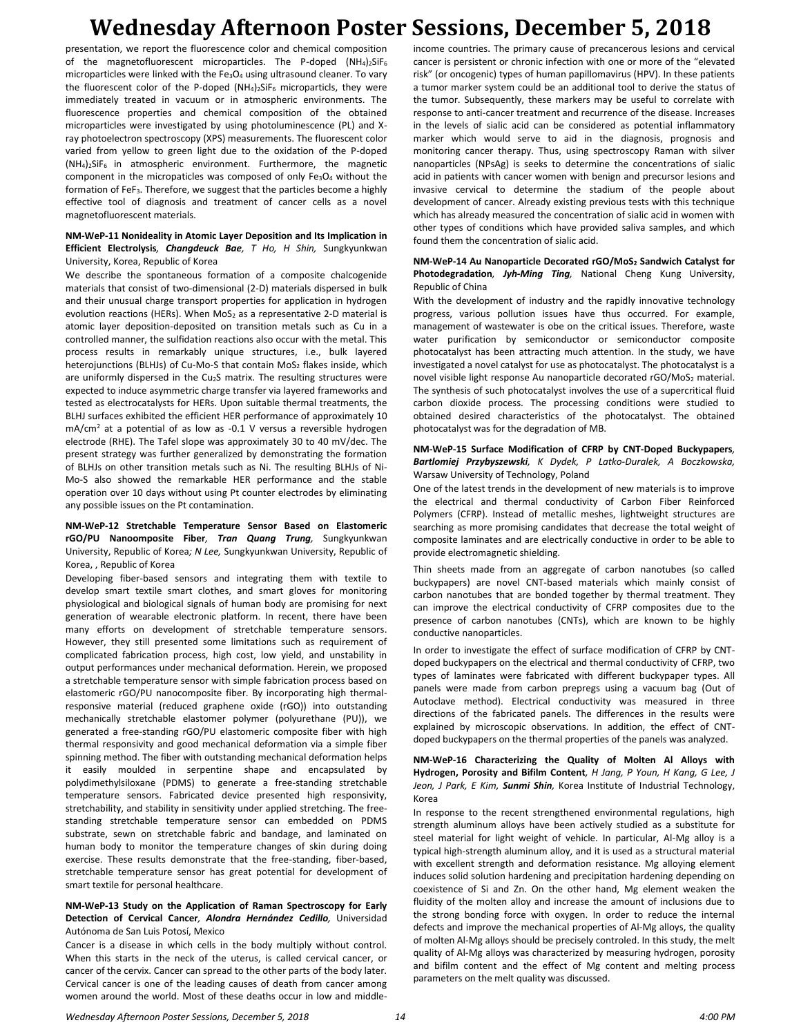presentation, we report the fluorescence color and chemical composition of the magnetofluorescent microparticles. The P-doped  $(NH_4)_2$ SiF<sub>6</sub> microparticles were linked with the Fe<sub>3</sub>O<sub>4</sub> using ultrasound cleaner. To vary the fluorescent color of the P-doped  $(NH_4)_2$ SiF<sub>6</sub> microparticls, they were immediately treated in vacuum or in atmospheric environments. The fluorescence properties and chemical composition of the obtained microparticles were investigated by using photoluminescence (PL) and Xray photoelectron spectroscopy (XPS) measurements. The fluorescent color varied from yellow to green light due to the oxidation of the P-doped (NH4)2SiF6 in atmospheric environment. Furthermore, the magnetic component in the micropaticles was composed of only  $Fe<sub>3</sub>O<sub>4</sub>$  without the formation of FeF<sub>3</sub>. Therefore, we suggest that the particles become a highly effective tool of diagnosis and treatment of cancer cells as a novel magnetofluorescent materials.

#### **NM-WeP-11 Nonideality in Atomic Layer Deposition and Its Implication in Efficient Electrolysis***, Changdeuck Bae, T Ho, H Shin,* Sungkyunkwan University, Korea, Republic of Korea

We describe the spontaneous formation of a composite chalcogenide materials that consist of two-dimensional (2-D) materials dispersed in bulk and their unusual charge transport properties for application in hydrogen evolution reactions (HERs). When  $MoS<sub>2</sub>$  as a representative 2-D material is atomic layer deposition-deposited on transition metals such as Cu in a controlled manner, the sulfidation reactions also occur with the metal. This process results in remarkably unique structures, i.e., bulk layered heterojunctions (BLHJs) of Cu-Mo-S that contain MoS<sub>2</sub> flakes inside, which are uniformly dispersed in the Cu2S matrix. The resulting structures were expected to induce asymmetric charge transfer via layered frameworks and tested as electrocatalysts for HERs. Upon suitable thermal treatments, the BLHJ surfaces exhibited the efficient HER performance of approximately 10 mA/cm<sup>2</sup> at a potential of as low as -0.1 V versus a reversible hydrogen electrode (RHE). The Tafel slope was approximately 30 to 40 mV/dec. The present strategy was further generalized by demonstrating the formation of BLHJs on other transition metals such as Ni. The resulting BLHJs of Ni-Mo-S also showed the remarkable HER performance and the stable operation over 10 days without using Pt counter electrodes by eliminating any possible issues on the Pt contamination.

#### **NM-WeP-12 Stretchable Temperature Sensor Based on Elastomeric rGO/PU Nanoomposite Fiber***, Tran Quang Trung,* Sungkyunkwan University, Republic of Korea*; N Lee,* Sungkyunkwan University, Republic of Korea, , Republic of Korea

Developing fiber-based sensors and integrating them with textile to develop smart textile smart clothes, and smart gloves for monitoring physiological and biological signals of human body are promising for next generation of wearable electronic platform. In recent, there have been many efforts on development of stretchable temperature sensors. However, they still presented some limitations such as requirement of complicated fabrication process, high cost, low yield, and unstability in output performances under mechanical deformation. Herein, we proposed a stretchable temperature sensor with simple fabrication process based on elastomeric rGO/PU nanocomposite fiber. By incorporating high thermalresponsive material (reduced graphene oxide (rGO)) into outstanding mechanically stretchable elastomer polymer (polyurethane (PU)), we generated a free-standing rGO/PU elastomeric composite fiber with high thermal responsivity and good mechanical deformation via a simple fiber spinning method. The fiber with outstanding mechanical deformation helps it easily moulded in serpentine shape and encapsulated by polydimethylsiloxane (PDMS) to generate a free-standing stretchable temperature sensors. Fabricated device presented high responsivity, stretchability, and stability in sensitivity under applied stretching. The freestanding stretchable temperature sensor can embedded on PDMS substrate, sewn on stretchable fabric and bandage, and laminated on human body to monitor the temperature changes of skin during doing exercise. These results demonstrate that the free-standing, fiber-based, stretchable temperature sensor has great potential for development of smart textile for personal healthcare.

#### **NM-WeP-13 Study on the Application of Raman Spectroscopy for Early Detection of Cervical Cancer***, Alondra Hernández Cedillo,* Universidad Autónoma de San Luis Potosí, Mexico

Cancer is a disease in which cells in the body multiply without control. When this starts in the neck of the uterus, is called cervical cancer, or cancer of the cervix. Cancer can spread to the other parts of the body later. Cervical cancer is one of the leading causes of death from cancer among women around the world. Most of these deaths occur in low and middleincome countries. The primary cause of precancerous lesions and cervical cancer is persistent or chronic infection with one or more of the "elevated risk" (or oncogenic) types of human papillomavirus (HPV). In these patients a tumor marker system could be an additional tool to derive the status of the tumor. Subsequently, these markers may be useful to correlate with response to anti-cancer treatment and recurrence of the disease. Increases in the levels of sialic acid can be considered as potential inflammatory marker which would serve to aid in the diagnosis, prognosis and monitoring cancer therapy. Thus, using spectroscopy Raman with silver nanoparticles (NPsAg) is seeks to determine the concentrations of sialic acid in patients with cancer women with benign and precursor lesions and invasive cervical to determine the stadium of the people about development of cancer. Already existing previous tests with this technique which has already measured the concentration of sialic acid in women with other types of conditions which have provided saliva samples, and which found them the concentration of sialic acid.

#### **NM-WeP-14 Au Nanoparticle Decorated rGO/MoS<sup>2</sup> Sandwich Catalyst for Photodegradation***, Jyh-Ming Ting,* National Cheng Kung University, Republic of China

With the development of industry and the rapidly innovative technology progress, various pollution issues have thus occurred. For example, management of wastewater is obe on the critical issues. Therefore, waste water purification by semiconductor or semiconductor composite photocatalyst has been attracting much attention. In the study, we have investigated a novel catalyst for use as photocatalyst. The photocatalyst is a novel visible light response Au nanoparticle decorated  $rGO/MoS<sub>2</sub>$  material. The synthesis of such photocatalyst involves the use of a supercritical fluid carbon dioxide process. The processing conditions were studied to obtained desired characteristics of the photocatalyst. The obtained photocatalyst was for the degradation of MB.

#### **NM-WeP-15 Surface Modification of CFRP by CNT-Doped Buckypapers***, Bartlomiej Przybyszewski, K Dydek, P Latko-Duralek, A Boczkowska,*  Warsaw University of Technology, Poland

One of the latest trends in the development of new materials is to improve the electrical and thermal conductivity of Carbon Fiber Reinforced Polymers (CFRP). Instead of metallic meshes, lightweight structures are searching as more promising candidates that decrease the total weight of composite laminates and are electrically conductive in order to be able to provide electromagnetic shielding.

Thin sheets made from an aggregate of carbon nanotubes (so called buckypapers) are novel CNT-based materials which mainly consist of carbon nanotubes that are bonded together by thermal treatment. They can improve the electrical conductivity of CFRP composites due to the presence of carbon nanotubes (CNTs), which are known to be highly conductive nanoparticles.

In order to investigate the effect of surface modification of CFRP by CNTdoped buckypapers on the electrical and thermal conductivity of CFRP, two types of laminates were fabricated with different buckypaper types. All panels were made from carbon prepregs using a vacuum bag (Out of Autoclave method). Electrical conductivity was measured in three directions of the fabricated panels. The differences in the results were explained by microscopic observations. In addition, the effect of CNTdoped buckypapers on the thermal properties of the panels was analyzed.

#### **NM-WeP-16 Characterizing the Quality of Molten Al Alloys with Hydrogen, Porosity and Bifilm Content***, H Jang, P Youn, H Kang, G Lee, J Jeon, J Park, E Kim, Sunmi Shin,* Korea Institute of Industrial Technology, Korea

In response to the recent strengthened environmental regulations, high strength aluminum alloys have been actively studied as a substitute for steel material for light weight of vehicle. In particular, Al-Mg alloy is a typical high-strength aluminum alloy, and it is used as a structural material with excellent strength and deformation resistance. Mg alloying element induces solid solution hardening and precipitation hardening depending on coexistence of Si and Zn. On the other hand, Mg element weaken the fluidity of the molten alloy and increase the amount of inclusions due to the strong bonding force with oxygen. In order to reduce the internal defects and improve the mechanical properties of Al-Mg alloys, the quality of molten Al-Mg alloys should be precisely controled. In this study, the melt quality of Al-Mg alloys was characterized by measuring hydrogen, porosity and bifilm content and the effect of Mg content and melting process parameters on the melt quality was discussed.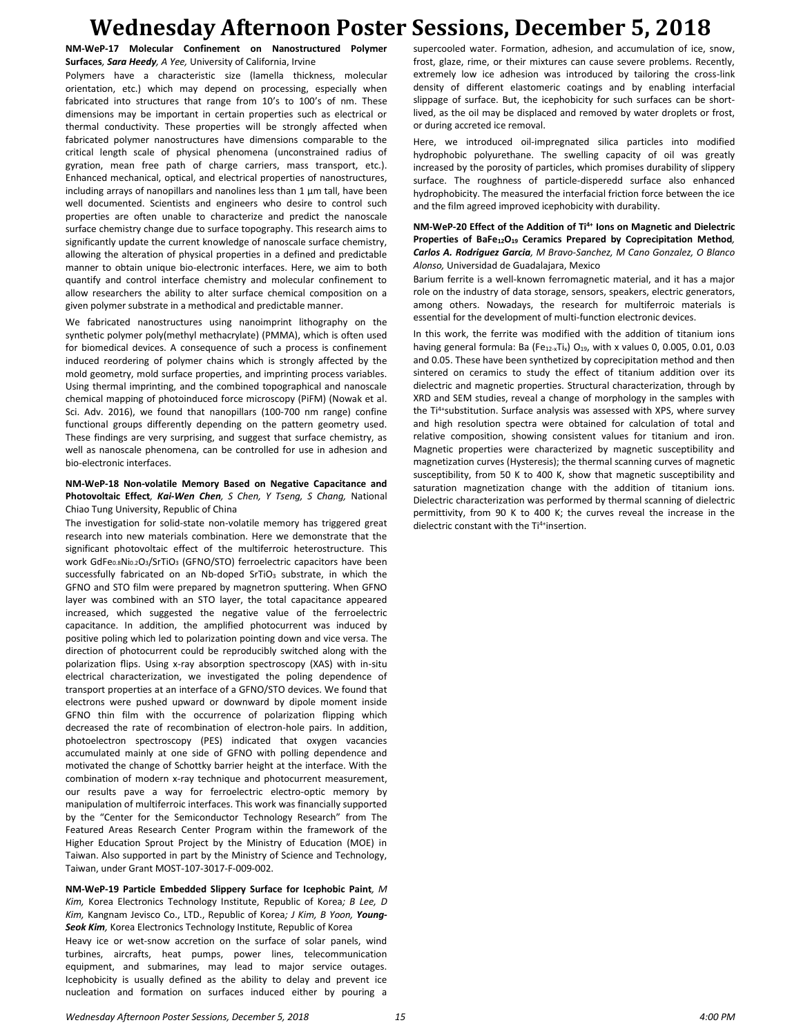**NM-WeP-17 Molecular Confinement on Nanostructured Polymer Surfaces***, Sara Heedy, A Yee,* University of California, Irvine

Polymers have a characteristic size (lamella thickness, molecular orientation, etc.) which may depend on processing, especially when fabricated into structures that range from 10's to 100's of nm. These dimensions may be important in certain properties such as electrical or thermal conductivity. These properties will be strongly affected when fabricated polymer nanostructures have dimensions comparable to the critical length scale of physical phenomena (unconstrained radius of gyration, mean free path of charge carriers, mass transport, etc.). Enhanced mechanical, optical, and electrical properties of nanostructures, including arrays of nanopillars and nanolines less than 1 μm tall, have been well documented. Scientists and engineers who desire to control such properties are often unable to characterize and predict the nanoscale surface chemistry change due to surface topography. This research aims to significantly update the current knowledge of nanoscale surface chemistry, allowing the alteration of physical properties in a defined and predictable manner to obtain unique bio-electronic interfaces. Here, we aim to both quantify and control interface chemistry and molecular confinement to allow researchers the ability to alter surface chemical composition on a given polymer substrate in a methodical and predictable manner.

We fabricated nanostructures using nanoimprint lithography on the synthetic polymer poly(methyl methacrylate) (PMMA), which is often used for biomedical devices. A consequence of such a process is confinement induced reordering of polymer chains which is strongly affected by the mold geometry, mold surface properties, and imprinting process variables. Using thermal imprinting, and the combined topographical and nanoscale chemical mapping of photoinduced force microscopy (PiFM) (Nowak et al. Sci. Adv. 2016), we found that nanopillars (100-700 nm range) confine functional groups differently depending on the pattern geometry used. These findings are very surprising, and suggest that surface chemistry, as well as nanoscale phenomena, can be controlled for use in adhesion and bio-electronic interfaces.

#### **NM-WeP-18 Non-volatile Memory Based on Negative Capacitance and Photovoltaic Effect***, Kai-Wen Chen, S Chen, Y Tseng, S Chang,* National Chiao Tung University, Republic of China

The investigation for solid-state non-volatile memory has triggered great research into new materials combination. Here we demonstrate that the significant photovoltaic effect of the multiferroic heterostructure. This work GdFe<sub>0.8</sub>Ni<sub>0.2</sub>O<sub>3</sub>/SrTiO<sub>3</sub> (GFNO/STO) ferroelectric capacitors have been successfully fabricated on an Nb-doped SrTiO<sub>3</sub> substrate, in which the GFNO and STO film were prepared by magnetron sputtering. When GFNO layer was combined with an STO layer, the total capacitance appeared increased, which suggested the negative value of the ferroelectric capacitance. In addition, the amplified photocurrent was induced by positive poling which led to polarization pointing down and vice versa. The direction of photocurrent could be reproducibly switched along with the polarization flips. Using x-ray absorption spectroscopy (XAS) with in-situ electrical characterization, we investigated the poling dependence of transport properties at an interface of a GFNO/STO devices. We found that electrons were pushed upward or downward by dipole moment inside GFNO thin film with the occurrence of polarization flipping which decreased the rate of recombination of electron-hole pairs. In addition, photoelectron spectroscopy (PES) indicated that oxygen vacancies accumulated mainly at one side of GFNO with polling dependence and motivated the change of Schottky barrier height at the interface. With the combination of modern x-ray technique and photocurrent measurement, our results pave a way for ferroelectric electro-optic memory by manipulation of multiferroic interfaces. This work was financially supported by the "Center for the Semiconductor Technology Research" from The Featured Areas Research Center Program within the framework of the Higher Education Sprout Project by the Ministry of Education (MOE) in Taiwan. Also supported in part by the Ministry of Science and Technology, Taiwan, under Grant MOST-107-3017-F-009-002.

**NM-WeP-19 Particle Embedded Slippery Surface for Icephobic Paint***, M Kim,* Korea Electronics Technology Institute, Republic of Korea*; B Lee, D Kim,* Kangnam Jevisco Co., LTD., Republic of Korea*; J Kim, B Yoon, Young-Seok Kim,* Korea Electronics Technology Institute, Republic of Korea

Heavy ice or wet-snow accretion on the surface of solar panels, wind turbines, aircrafts, heat pumps, power lines, telecommunication equipment, and submarines, may lead to major service outages. Icephobicity is usually defined as the ability to delay and prevent ice nucleation and formation on surfaces induced either by pouring a

supercooled water. Formation, adhesion, and accumulation of ice, snow, frost, glaze, rime, or their mixtures can cause severe problems. Recently, extremely low ice adhesion was introduced by tailoring the cross-link density of different elastomeric coatings and by enabling interfacial slippage of surface. But, the icephobicity for such surfaces can be shortlived, as the oil may be displaced and removed by water droplets or frost, or during accreted ice removal.

Here, we introduced oil-impregnated silica particles into modified hydrophobic polyurethane. The swelling capacity of oil was greatly increased by the porosity of particles, which promises durability of slippery surface. The roughness of particle-disperedd surface also enhanced hydrophobicity. The measured the interfacial friction force between the ice and the film agreed improved icephobicity with durability.

#### **NM-WeP-20 Effect of the Addition of Ti4+ Ions on Magnetic and Dielectric Properties of BaFe12O<sup>19</sup> Ceramics Prepared by Coprecipitation Method***, Carlos A. Rodriguez Garcia, M Bravo-Sanchez, M Cano Gonzalez, O Blanco Alonso,* Universidad de Guadalajara, Mexico

Barium ferrite is a well-known ferromagnetic material, and it has a major role on the industry of data storage, sensors, speakers, electric generators, among others. Nowadays, the research for multiferroic materials is essential for the development of multi-function electronic devices.

In this work, the ferrite was modified with the addition of titanium ions having general formula: Ba (Fe $_{12-x}$ Ti<sub>x</sub>) O<sub>19</sub>, with x values 0, 0.005, 0.01, 0.03 and 0.05. These have been synthetized by coprecipitation method and then sintered on ceramics to study the effect of titanium addition over its dielectric and magnetic properties. Structural characterization, through by XRD and SEM studies, reveal a change of morphology in the samples with the Ti<sup>4+</sup>substitution. Surface analysis was assessed with XPS, where survey and high resolution spectra were obtained for calculation of total and relative composition, showing consistent values for titanium and iron. Magnetic properties were characterized by magnetic susceptibility and magnetization curves (Hysteresis); the thermal scanning curves of magnetic susceptibility, from 50 K to 400 K, show that magnetic susceptibility and saturation magnetization change with the addition of titanium ions. Dielectric characterization was performed by thermal scanning of dielectric permittivity, from 90 K to 400 K; the curves reveal the increase in the dielectric constant with the Ti<sup>4+</sup>insertion.